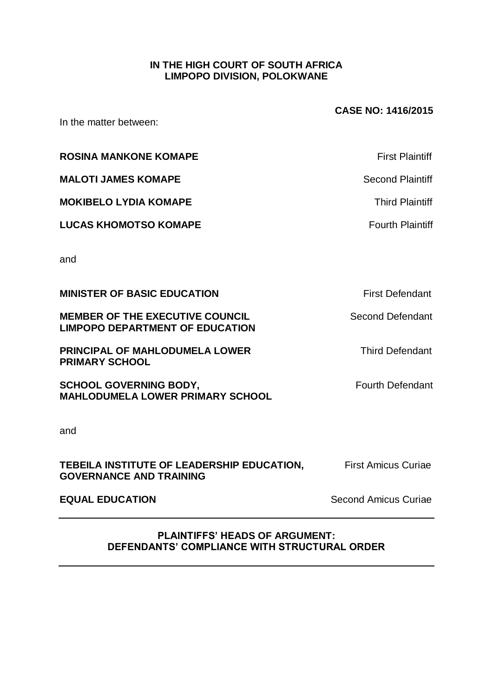## **IN THE HIGH COURT OF SOUTH AFRICA LIMPOPO DIVISION, POLOKWANE**

**CASE NO: 1416/2015** In the matter between: **ROSINA MANKONE KOMAPE** *ROSINA MANKONE KOMAPE First Plaintiff* **MALOTI JAMES KOMAPE** Second Plaintiff **MOKIBELO LYDIA KOMAPE Third Plaintiff LUCAS KHOMOTSO KOMAPE** *CUCAS KHOMOTSO KOMAPE CUCAS Fourth Plaintiff* and **MINISTER OF BASIC EDUCATION First Defendant MEMBER OF THE EXECUTIVE COUNCIL** Second Defendant **LIMPOPO DEPARTMENT OF EDUCATION PRINCIPAL OF MAHLODUMELA LOWER** Third Defendant **PRIMARY SCHOOL SCHOOL GOVERNING BODY, SCHOOL GOVERNING BODY, MAHLODUMELA LOWER PRIMARY SCHOOL** and **TEBEILA INSTITUTE OF LEADERSHIP EDUCATION, First Amicus Curiae GOVERNANCE AND TRAINING EQUAL EDUCATION Second Amicus Curiae** 

#### **PLAINTIFFS' HEADS OF ARGUMENT: DEFENDANTS' COMPLIANCE WITH STRUCTURAL ORDER**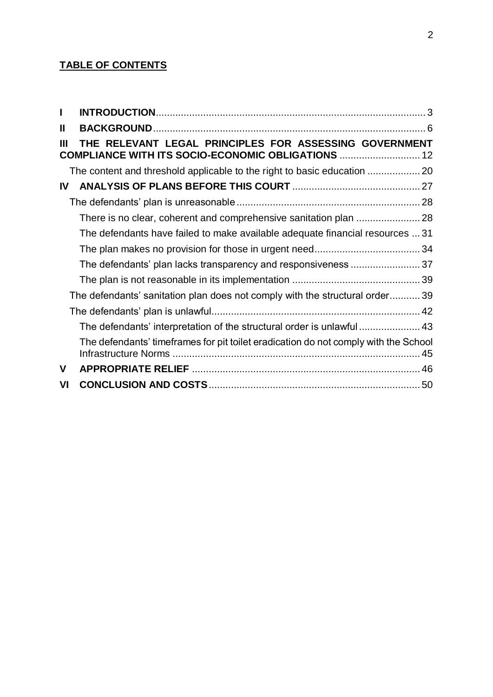## **TABLE OF CONTENTS**

| L  |                                                                                                              |  |
|----|--------------------------------------------------------------------------------------------------------------|--|
| Ш  |                                                                                                              |  |
| Ш  | THE RELEVANT LEGAL PRINCIPLES FOR ASSESSING GOVERNMENT<br>COMPLIANCE WITH ITS SOCIO-ECONOMIC OBLIGATIONS  12 |  |
|    |                                                                                                              |  |
| IV |                                                                                                              |  |
|    |                                                                                                              |  |
|    |                                                                                                              |  |
|    | The defendants have failed to make available adequate financial resources  31                                |  |
|    |                                                                                                              |  |
|    | The defendants' plan lacks transparency and responsiveness 37                                                |  |
|    |                                                                                                              |  |
|    | The defendants' sanitation plan does not comply with the structural order 39                                 |  |
|    |                                                                                                              |  |
|    | The defendants' interpretation of the structural order is unlawful 43                                        |  |
|    | The defendants' timeframes for pit toilet eradication do not comply with the School                          |  |
| V  |                                                                                                              |  |
| VI |                                                                                                              |  |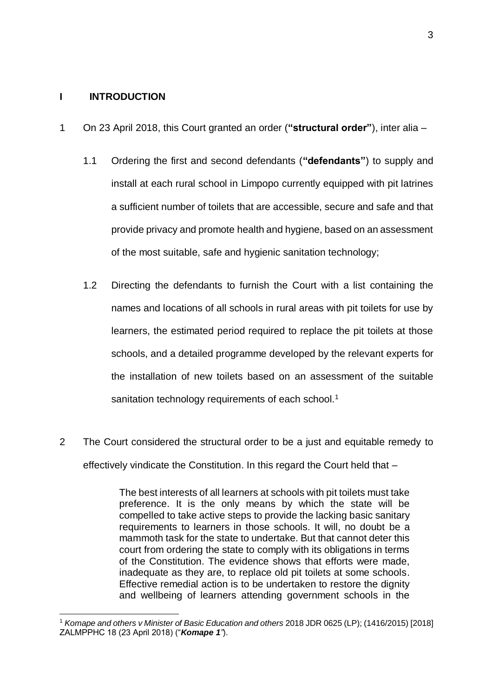#### <span id="page-2-0"></span>**I INTRODUCTION**

1

- 1 On 23 April 2018, this Court granted an order (**"structural order"**), inter alia
	- 1.1 Ordering the first and second defendants (**"defendants"**) to supply and install at each rural school in Limpopo currently equipped with pit latrines a sufficient number of toilets that are accessible, secure and safe and that provide privacy and promote health and hygiene, based on an assessment of the most suitable, safe and hygienic sanitation technology;
	- 1.2 Directing the defendants to furnish the Court with a list containing the names and locations of all schools in rural areas with pit toilets for use by learners, the estimated period required to replace the pit toilets at those schools, and a detailed programme developed by the relevant experts for the installation of new toilets based on an assessment of the suitable sanitation technology requirements of each school.<sup>1</sup>
- 2 The Court considered the structural order to be a just and equitable remedy to effectively vindicate the Constitution. In this regard the Court held that –

The best interests of all learners at schools with pit toilets must take preference. It is the only means by which the state will be compelled to take active steps to provide the lacking basic sanitary requirements to learners in those schools. It will, no doubt be a mammoth task for the state to undertake. But that cannot deter this court from ordering the state to comply with its obligations in terms of the Constitution. The evidence shows that efforts were made, inadequate as they are, to replace old pit toilets at some schools. Effective remedial action is to be undertaken to restore the dignity and wellbeing of learners attending government schools in the

<sup>1</sup> *Komape and others v Minister of Basic Education and others* 2018 JDR 0625 (LP); (1416/2015) [2018] ZALMPPHC 18 (23 April 2018) ("*Komape 1"*).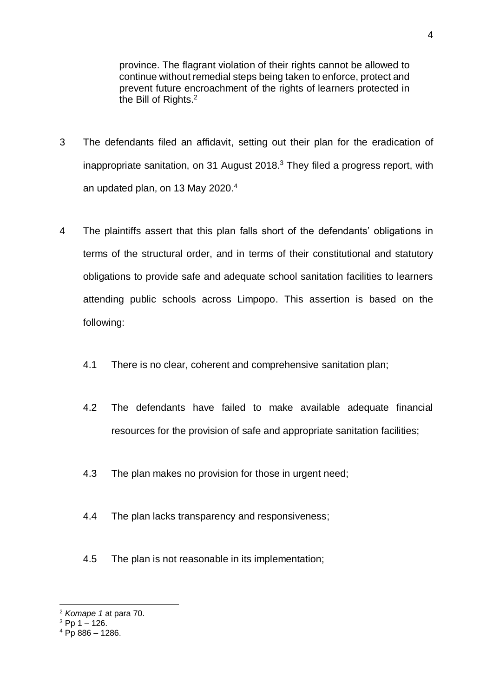province. The flagrant violation of their rights cannot be allowed to continue without remedial steps being taken to enforce, protect and prevent future encroachment of the rights of learners protected in the Bill of Rights.<sup>2</sup>

- 3 The defendants filed an affidavit, setting out their plan for the eradication of inappropriate sanitation, on 31 August 2018. $3$  They filed a progress report, with an updated plan, on 13 May 2020.<sup>4</sup>
- 4 The plaintiffs assert that this plan falls short of the defendants' obligations in terms of the structural order, and in terms of their constitutional and statutory obligations to provide safe and adequate school sanitation facilities to learners attending public schools across Limpopo. This assertion is based on the following:
	- 4.1 There is no clear, coherent and comprehensive sanitation plan;
	- 4.2 The defendants have failed to make available adequate financial resources for the provision of safe and appropriate sanitation facilities;
	- 4.3 The plan makes no provision for those in urgent need;
	- 4.4 The plan lacks transparency and responsiveness;
	- 4.5 The plan is not reasonable in its implementation;

<sup>1</sup> <sup>2</sup> *Komape 1* at para 70.

 $3$  Pp 1 – 126.

 $4$  Pp 886 – 1286.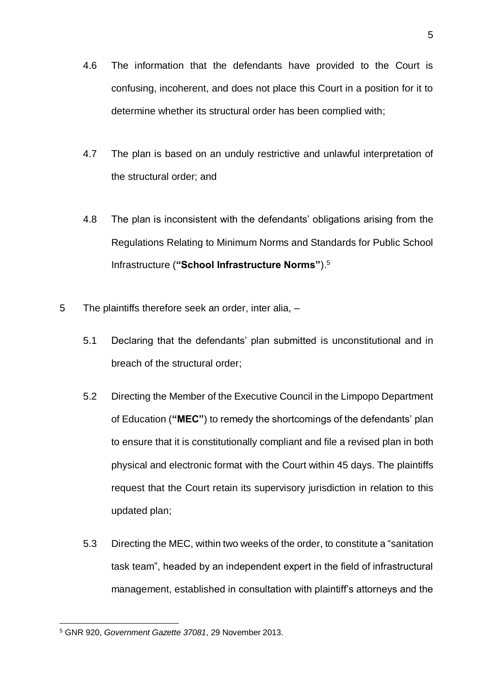- 4.6 The information that the defendants have provided to the Court is confusing, incoherent, and does not place this Court in a position for it to determine whether its structural order has been complied with;
- 4.7 The plan is based on an unduly restrictive and unlawful interpretation of the structural order; and
- 4.8 The plan is inconsistent with the defendants' obligations arising from the Regulations Relating to Minimum Norms and Standards for Public School Infrastructure (**"School Infrastructure Norms"**).<sup>5</sup>
- 5 The plaintiffs therefore seek an order, inter alia,
	- 5.1 Declaring that the defendants' plan submitted is unconstitutional and in breach of the structural order;
	- 5.2 Directing the Member of the Executive Council in the Limpopo Department of Education (**"MEC"**) to remedy the shortcomings of the defendants' plan to ensure that it is constitutionally compliant and file a revised plan in both physical and electronic format with the Court within 45 days. The plaintiffs request that the Court retain its supervisory jurisdiction in relation to this updated plan;
	- 5.3 Directing the MEC, within two weeks of the order, to constitute a "sanitation task team", headed by an independent expert in the field of infrastructural management, established in consultation with plaintiff's attorneys and the

<sup>1</sup> <sup>5</sup> GNR 920, *Government Gazette 37081*, 29 November 2013.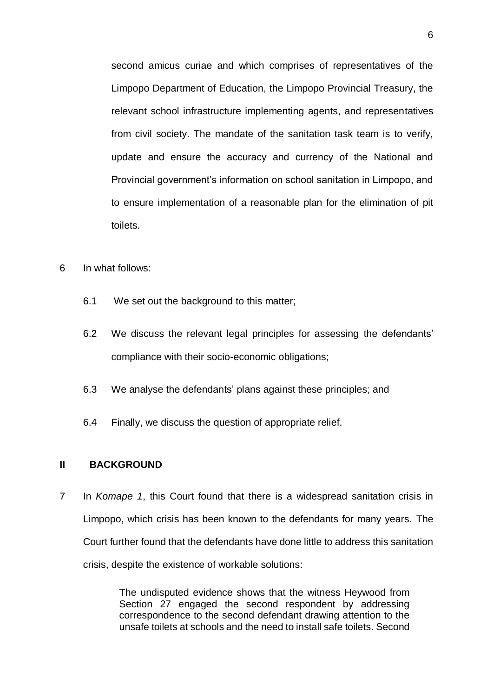second amicus curiae and which comprises of representatives of the Limpopo Department of Education, the Limpopo Provincial Treasury, the relevant school infrastructure implementing agents, and representatives from civil society. The mandate of the sanitation task team is to verify, update and ensure the accuracy and currency of the National and Provincial government's information on school sanitation in Limpopo, and to ensure implementation of a reasonable plan for the elimination of pit toilets.

- 6 In what follows:
	- 6.1 We set out the background to this matter;
	- 6.2 We discuss the relevant legal principles for assessing the defendants' compliance with their socio-economic obligations;
	- 6.3 We analyse the defendants' plans against these principles; and
	- 6.4 Finally, we discuss the question of appropriate relief.

#### <span id="page-5-0"></span>**II BACKGROUND**

7 In *Komape 1*, this Court found that there is a widespread sanitation crisis in Limpopo, which crisis has been known to the defendants for many years. The Court further found that the defendants have done little to address this sanitation crisis, despite the existence of workable solutions:

> The undisputed evidence shows that the witness Heywood from Section 27 engaged the second respondent by addressing correspondence to the second defendant drawing attention to the unsafe toilets at schools and the need to install safe toilets. Second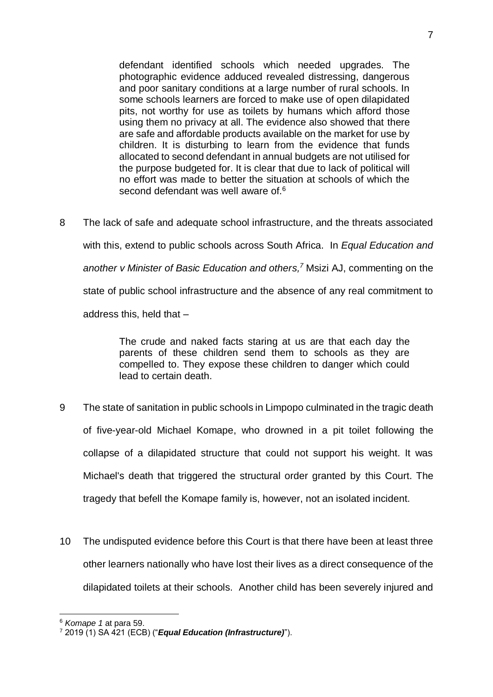defendant identified schools which needed upgrades. The photographic evidence adduced revealed distressing, dangerous and poor sanitary conditions at a large number of rural schools. In some schools learners are forced to make use of open dilapidated pits, not worthy for use as toilets by humans which afford those using them no privacy at all. The evidence also showed that there are safe and affordable products available on the market for use by children. It is disturbing to learn from the evidence that funds allocated to second defendant in annual budgets are not utilised for the purpose budgeted for. It is clear that due to lack of political will no effort was made to better the situation at schools of which the second defendant was well aware of.<sup>6</sup>

8 The lack of safe and adequate school infrastructure, and the threats associated with this, extend to public schools across South Africa. In *Equal Education and another v Minister of Basic Education and others, <sup>7</sup>* Msizi AJ, commenting on the state of public school infrastructure and the absence of any real commitment to address this, held that –

> The crude and naked facts staring at us are that each day the parents of these children send them to schools as they are compelled to. They expose these children to danger which could lead to certain death.

- 9 The state of sanitation in public schools in Limpopo culminated in the tragic death of five-year-old Michael Komape, who drowned in a pit toilet following the collapse of a dilapidated structure that could not support his weight. It was Michael's death that triggered the structural order granted by this Court. The tragedy that befell the Komape family is, however, not an isolated incident.
- 10 The undisputed evidence before this Court is that there have been at least three other learners nationally who have lost their lives as a direct consequence of the dilapidated toilets at their schools. Another child has been severely injured and

<sup>6</sup> *Komape 1* at para 59.

<sup>7</sup> 2019 (1) SA 421 (ECB) ("*Equal Education (Infrastructure)*").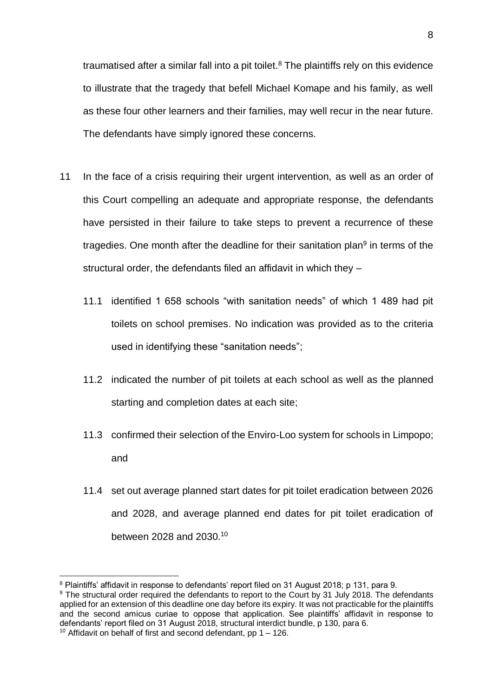traumatised after a similar fall into a pit toilet.<sup>8</sup> The plaintiffs rely on this evidence to illustrate that the tragedy that befell Michael Komape and his family, as well as these four other learners and their families, may well recur in the near future. The defendants have simply ignored these concerns.

- 11 In the face of a crisis requiring their urgent intervention, as well as an order of this Court compelling an adequate and appropriate response, the defendants have persisted in their failure to take steps to prevent a recurrence of these tragedies. One month after the deadline for their sanitation plan<sup>9</sup> in terms of the structural order, the defendants filed an affidavit in which they –
	- 11.1 identified 1 658 schools "with sanitation needs" of which 1 489 had pit toilets on school premises. No indication was provided as to the criteria used in identifying these "sanitation needs";
	- 11.2 indicated the number of pit toilets at each school as well as the planned starting and completion dates at each site;
	- 11.3 confirmed their selection of the Enviro-Loo system for schools in Limpopo; and
	- 11.4 set out average planned start dates for pit toilet eradication between 2026 and 2028, and average planned end dates for pit toilet eradication of between 2028 and 2030.<sup>10</sup>

<u>.</u>

<sup>8</sup> Plaintiffs' affidavit in response to defendants' report filed on 31 August 2018; p 131, para 9.

<sup>&</sup>lt;sup>9</sup> The structural order required the defendants to report to the Court by 31 July 2018. The defendants applied for an extension of this deadline one day before its expiry. It was not practicable for the plaintiffs and the second amicus curiae to oppose that application. See plaintiffs' affidavit in response to defendants' report filed on 31 August 2018, structural interdict bundle, p 130, para 6. <sup>10</sup> Affidavit on behalf of first and second defendant, pp  $1 - 126$ .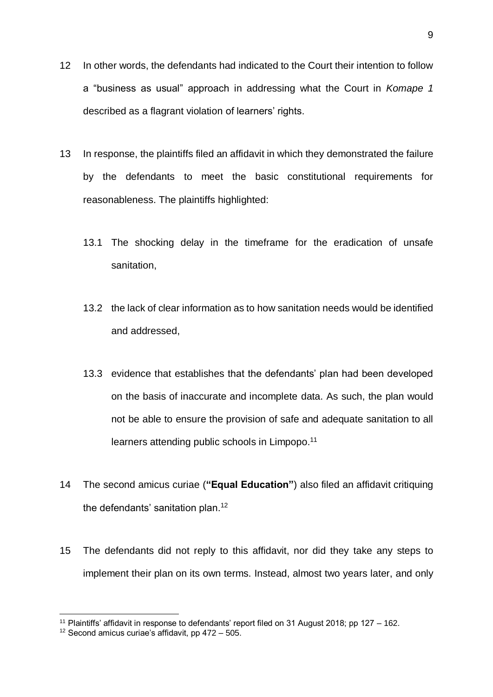- 12 In other words, the defendants had indicated to the Court their intention to follow a "business as usual" approach in addressing what the Court in *Komape 1*  described as a flagrant violation of learners' rights.
- 13 In response, the plaintiffs filed an affidavit in which they demonstrated the failure by the defendants to meet the basic constitutional requirements for reasonableness. The plaintiffs highlighted:
	- 13.1 The shocking delay in the timeframe for the eradication of unsafe sanitation,
	- 13.2 the lack of clear information as to how sanitation needs would be identified and addressed,
	- 13.3 evidence that establishes that the defendants' plan had been developed on the basis of inaccurate and incomplete data. As such, the plan would not be able to ensure the provision of safe and adequate sanitation to all learners attending public schools in Limpopo.<sup>11</sup>
- 14 The second amicus curiae (**"Equal Education"**) also filed an affidavit critiquing the defendants' sanitation plan.<sup>12</sup>
- 15 The defendants did not reply to this affidavit, nor did they take any steps to implement their plan on its own terms. Instead, almost two years later, and only

<sup>11</sup> Plaintiffs' affidavit in response to defendants' report filed on 31 August 2018; pp 127 – 162.

<sup>&</sup>lt;sup>12</sup> Second amicus curiae's affidavit, pp  $472 - 505$ .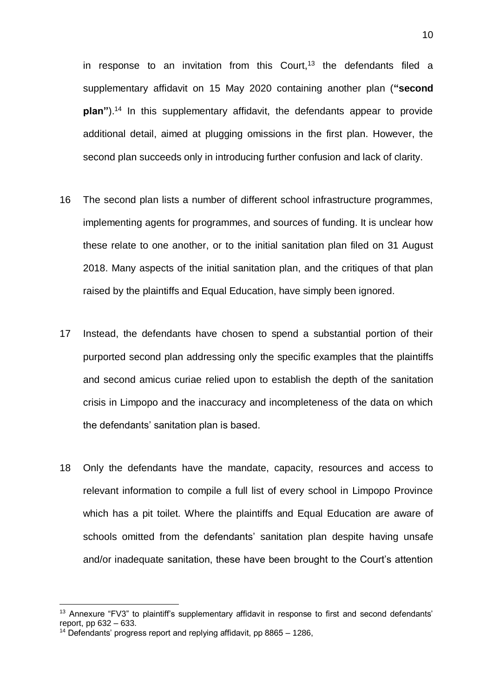in response to an invitation from this Court, $13$  the defendants filed a supplementary affidavit on 15 May 2020 containing another plan (**"second plan"**).<sup>14</sup> In this supplementary affidavit, the defendants appear to provide additional detail, aimed at plugging omissions in the first plan. However, the second plan succeeds only in introducing further confusion and lack of clarity.

- 16 The second plan lists a number of different school infrastructure programmes, implementing agents for programmes, and sources of funding. It is unclear how these relate to one another, or to the initial sanitation plan filed on 31 August 2018. Many aspects of the initial sanitation plan, and the critiques of that plan raised by the plaintiffs and Equal Education, have simply been ignored.
- 17 Instead, the defendants have chosen to spend a substantial portion of their purported second plan addressing only the specific examples that the plaintiffs and second amicus curiae relied upon to establish the depth of the sanitation crisis in Limpopo and the inaccuracy and incompleteness of the data on which the defendants' sanitation plan is based.
- 18 Only the defendants have the mandate, capacity, resources and access to relevant information to compile a full list of every school in Limpopo Province which has a pit toilet. Where the plaintiffs and Equal Education are aware of schools omitted from the defendants' sanitation plan despite having unsafe and/or inadequate sanitation, these have been brought to the Court's attention

<sup>&</sup>lt;sup>13</sup> Annexure "FV3" to plaintiff's supplementary affidavit in response to first and second defendants' report, pp 632 – 633.

 $14$  Defendants' progress report and replying affidavit, pp 8865 – 1286,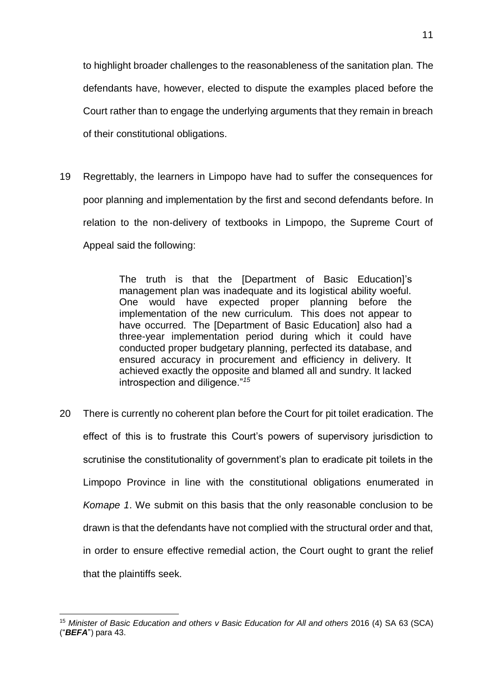to highlight broader challenges to the reasonableness of the sanitation plan. The defendants have, however, elected to dispute the examples placed before the Court rather than to engage the underlying arguments that they remain in breach of their constitutional obligations.

19 Regrettably, the learners in Limpopo have had to suffer the consequences for poor planning and implementation by the first and second defendants before. In relation to the non-delivery of textbooks in Limpopo, the Supreme Court of Appeal said the following:

> The truth is that the [Department of Basic Education]'s management plan was inadequate and its logistical ability woeful. One would have expected proper planning before the implementation of the new curriculum. This does not appear to have occurred. The [Department of Basic Education] also had a three-year implementation period during which it could have conducted proper budgetary planning, perfected its database, and ensured accuracy in procurement and efficiency in delivery. It achieved exactly the opposite and blamed all and sundry. It lacked introspection and diligence."*<sup>15</sup>*

20 There is currently no coherent plan before the Court for pit toilet eradication. The effect of this is to frustrate this Court's powers of supervisory jurisdiction to scrutinise the constitutionality of government's plan to eradicate pit toilets in the Limpopo Province in line with the constitutional obligations enumerated in *Komape 1*. We submit on this basis that the only reasonable conclusion to be drawn is that the defendants have not complied with the structural order and that, in order to ensure effective remedial action, the Court ought to grant the relief that the plaintiffs seek.

<sup>1</sup> <sup>15</sup> *Minister of Basic Education and others v Basic Education for All and others* 2016 (4) SA 63 (SCA) ("*BEFA*") para 43.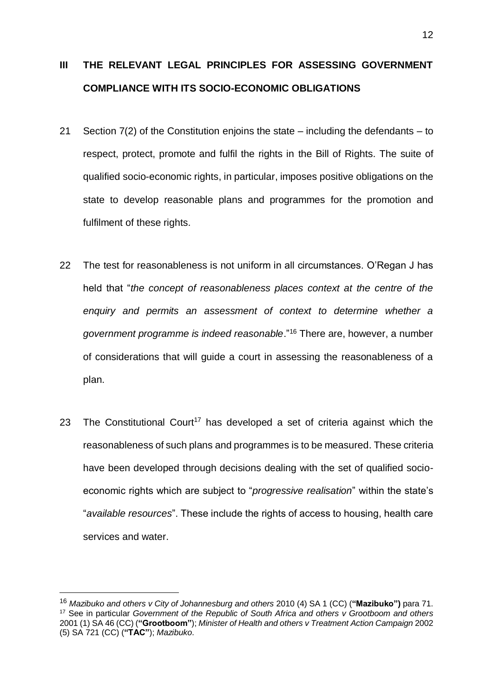# <span id="page-11-0"></span>**III THE RELEVANT LEGAL PRINCIPLES FOR ASSESSING GOVERNMENT COMPLIANCE WITH ITS SOCIO-ECONOMIC OBLIGATIONS**

- 21 Section 7(2) of the Constitution enjoins the state including the defendants to respect, protect, promote and fulfil the rights in the Bill of Rights. The suite of qualified socio-economic rights, in particular, imposes positive obligations on the state to develop reasonable plans and programmes for the promotion and fulfilment of these rights.
- 22 The test for reasonableness is not uniform in all circumstances. O'Regan J has held that "*the concept of reasonableness places context at the centre of the enquiry and permits an assessment of context to determine whether a government programme is indeed reasonable*."<sup>16</sup> There are, however, a number of considerations that will guide a court in assessing the reasonableness of a plan.
- 23 The Constitutional Court<sup>17</sup> has developed a set of criteria against which the reasonableness of such plans and programmes is to be measured. These criteria have been developed through decisions dealing with the set of qualified socioeconomic rights which are subject to "*progressive realisation*" within the state's "*available resources*". These include the rights of access to housing, health care services and water.

<u>.</u>

<sup>16</sup> *Mazibuko and others v City of Johannesburg and others* 2010 (4) SA 1 (CC) (**"Mazibuko")** para 71. <sup>17</sup> See in particular *Government of the Republic of South Africa and others v Grootboom and others* 2001 (1) SA 46 (CC) (**"Grootboom"**); *Minister of Health and others v Treatment Action Campaign* 2002 (5) SA 721 (CC) (**"TAC"**); *Mazibuko*.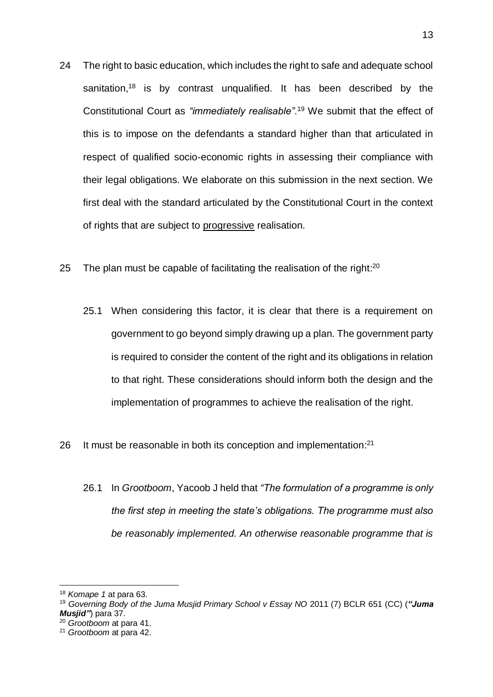- 24 The right to basic education, which includes the right to safe and adequate school sanitation,<sup>18</sup> is by contrast unqualified. It has been described by the Constitutional Court as *"immediately realisable"*. <sup>19</sup> We submit that the effect of this is to impose on the defendants a standard higher than that articulated in respect of qualified socio-economic rights in assessing their compliance with their legal obligations. We elaborate on this submission in the next section. We first deal with the standard articulated by the Constitutional Court in the context of rights that are subject to progressive realisation.
- 25 The plan must be capable of facilitating the realisation of the right: $^{20}$ 
	- 25.1 When considering this factor, it is clear that there is a requirement on government to go beyond simply drawing up a plan. The government party is required to consider the content of the right and its obligations in relation to that right. These considerations should inform both the design and the implementation of programmes to achieve the realisation of the right.
- 26 It must be reasonable in both its conception and implementation:<sup>21</sup>
	- 26.1 In *Grootboom*, Yacoob J held that *"The formulation of a programme is only the first step in meeting the state's obligations. The programme must also be reasonably implemented. An otherwise reasonable programme that is*

<sup>18</sup> *Komape 1* at para 63.

<sup>19</sup> *Governing Body of the Juma Musjid Primary School v Essay NO* 2011 (7) BCLR 651 (CC) (*"Juma Musjid"*) para 37.

<sup>20</sup> *Grootboom* at para 41.

<sup>21</sup> *Grootboom* at para 42.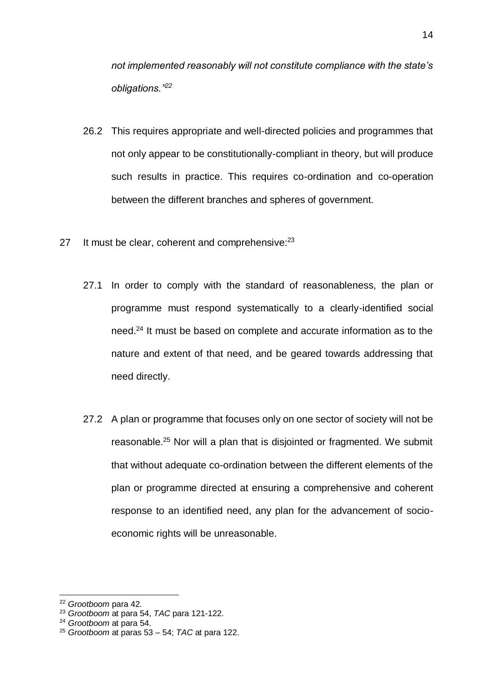*not implemented reasonably will not constitute compliance with the state's obligations."<sup>22</sup>*

- 26.2 This requires appropriate and well-directed policies and programmes that not only appear to be constitutionally-compliant in theory, but will produce such results in practice. This requires co-ordination and co-operation between the different branches and spheres of government.
- 27 It must be clear, coherent and comprehensive:<sup>23</sup>
	- 27.1 In order to comply with the standard of reasonableness, the plan or programme must respond systematically to a clearly-identified social need.<sup>24</sup> It must be based on complete and accurate information as to the nature and extent of that need, and be geared towards addressing that need directly.
	- 27.2 A plan or programme that focuses only on one sector of society will not be reasonable.<sup>25</sup> Nor will a plan that is disjointed or fragmented. We submit that without adequate co-ordination between the different elements of the plan or programme directed at ensuring a comprehensive and coherent response to an identified need, any plan for the advancement of socioeconomic rights will be unreasonable.

<sup>22</sup> *Grootboom* para 42.

<sup>23</sup> *Grootboom* at para 54, *TAC* para 121-122.

<sup>24</sup> *Grootboom* at para 54.

<sup>25</sup> *Grootboom* at paras 53 – 54; *TAC* at para 122.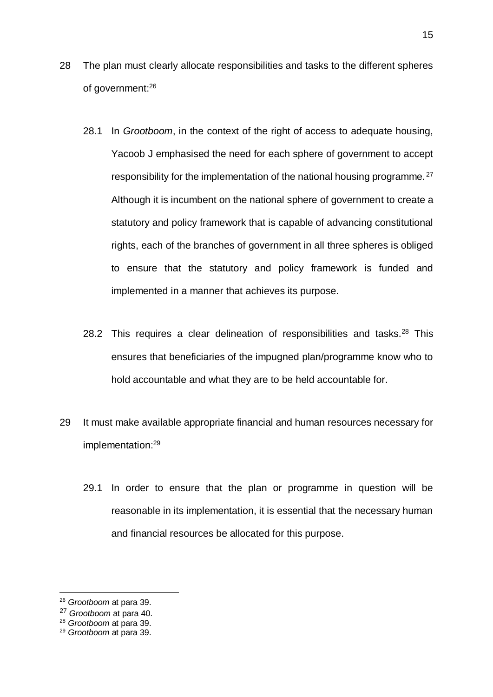- 28 The plan must clearly allocate responsibilities and tasks to the different spheres of government:<sup>26</sup>
	- 28.1 In *Grootboom*, in the context of the right of access to adequate housing, Yacoob J emphasised the need for each sphere of government to accept responsibility for the implementation of the national housing programme.<sup>27</sup> Although it is incumbent on the national sphere of government to create a statutory and policy framework that is capable of advancing constitutional rights, each of the branches of government in all three spheres is obliged to ensure that the statutory and policy framework is funded and implemented in a manner that achieves its purpose.
	- 28.2 This requires a clear delineation of responsibilities and tasks. $28$  This ensures that beneficiaries of the impugned plan/programme know who to hold accountable and what they are to be held accountable for.
- 29 It must make available appropriate financial and human resources necessary for implementation: 29
	- 29.1 In order to ensure that the plan or programme in question will be reasonable in its implementation, it is essential that the necessary human and financial resources be allocated for this purpose.

<u>.</u>

<sup>26</sup> *Grootboom* at para 39.

<sup>27</sup> *Grootboom* at para 40.

<sup>28</sup> *Grootboom* at para 39.

<sup>29</sup> *Grootboom* at para 39.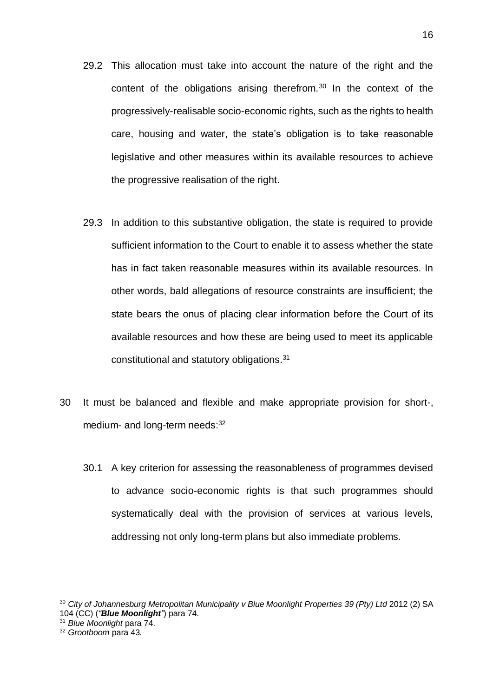- 29.2 This allocation must take into account the nature of the right and the content of the obligations arising therefrom.<sup>30</sup> In the context of the progressively-realisable socio-economic rights, such as the rights to health care, housing and water, the state's obligation is to take reasonable legislative and other measures within its available resources to achieve the progressive realisation of the right.
- 29.3 In addition to this substantive obligation, the state is required to provide sufficient information to the Court to enable it to assess whether the state has in fact taken reasonable measures within its available resources. In other words, bald allegations of resource constraints are insufficient; the state bears the onus of placing clear information before the Court of its available resources and how these are being used to meet its applicable constitutional and statutory obligations.<sup>31</sup>
- 30 It must be balanced and flexible and make appropriate provision for short-, medium- and long-term needs: 32
	- 30.1 A key criterion for assessing the reasonableness of programmes devised to advance socio-economic rights is that such programmes should systematically deal with the provision of services at various levels, addressing not only long-term plans but also immediate problems.

<sup>&</sup>lt;sup>30</sup> City of Johannesburg Metropolitan Municipality v Blue Moonlight Properties 39 (Pty) Ltd 2012 (2) SA 104 (CC) (*"Blue Moonlight"*) para 74.

<sup>31</sup> *Blue Moonlight* para 74.

<sup>32</sup> *Grootboom* para 43.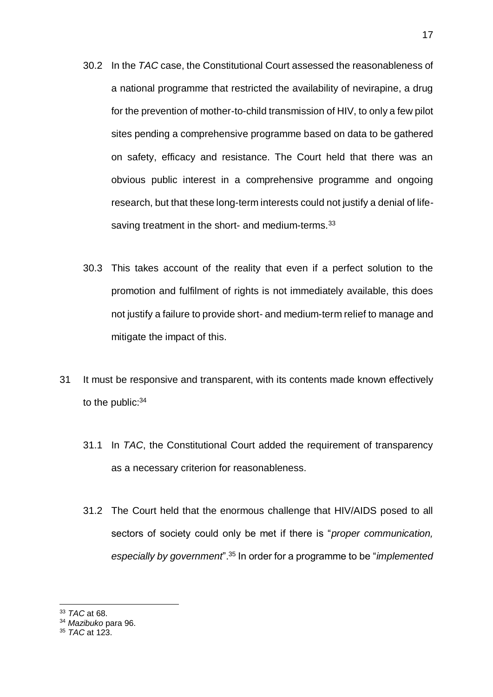- 30.2 In the *TAC* case, the Constitutional Court assessed the reasonableness of a national programme that restricted the availability of nevirapine, a drug for the prevention of mother-to-child transmission of HIV, to only a few pilot sites pending a comprehensive programme based on data to be gathered on safety, efficacy and resistance. The Court held that there was an obvious public interest in a comprehensive programme and ongoing research, but that these long-term interests could not justify a denial of lifesaving treatment in the short- and medium-terms.  $33$
- 30.3 This takes account of the reality that even if a perfect solution to the promotion and fulfilment of rights is not immediately available, this does not justify a failure to provide short- and medium-term relief to manage and mitigate the impact of this.
- 31 It must be responsive and transparent, with its contents made known effectively to the public:<sup>34</sup>
	- 31.1 In *TAC*, the Constitutional Court added the requirement of transparency as a necessary criterion for reasonableness.
	- 31.2 The Court held that the enormous challenge that HIV/AIDS posed to all sectors of society could only be met if there is "*proper communication, especially by government*".<sup>35</sup> In order for a programme to be "*implemented*

<sup>1</sup> <sup>33</sup> *TAC* at 68.

<sup>34</sup> *Mazibuko* para 96.

<sup>35</sup> *TAC* at 123.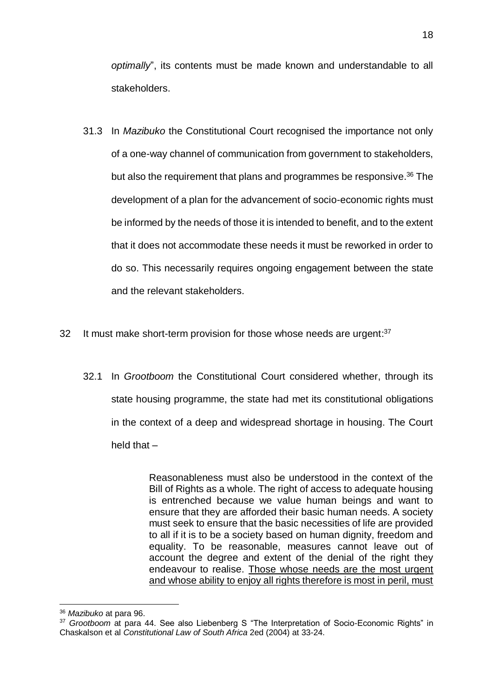*optimally*", its contents must be made known and understandable to all stakeholders.

- 31.3 In *Mazibuko* the Constitutional Court recognised the importance not only of a one-way channel of communication from government to stakeholders, but also the requirement that plans and programmes be responsive.<sup>36</sup> The development of a plan for the advancement of socio-economic rights must be informed by the needs of those it is intended to benefit, and to the extent that it does not accommodate these needs it must be reworked in order to do so. This necessarily requires ongoing engagement between the state and the relevant stakeholders.
- 32 It must make short-term provision for those whose needs are urgent:<sup>37</sup>
	- 32.1 In *Grootboom* the Constitutional Court considered whether, through its state housing programme, the state had met its constitutional obligations in the context of a deep and widespread shortage in housing. The Court held that  $-$

Reasonableness must also be understood in the context of the Bill of Rights as a whole. The right of access to adequate housing is entrenched because we value human beings and want to ensure that they are afforded their basic human needs. A society must seek to ensure that the basic necessities of life are provided to all if it is to be a society based on human dignity, freedom and equality. To be reasonable, measures cannot leave out of account the degree and extent of the denial of the right they endeavour to realise. Those whose needs are the most urgent and whose ability to enjoy all rights therefore is most in peril, must

<sup>1</sup> <sup>36</sup> *Mazibuko* at para 96.

<sup>37</sup> *Grootboom* at para 44. See also Liebenberg S "The Interpretation of Socio-Economic Rights" in Chaskalson et al *Constitutional Law of South Africa* 2ed (2004) at 33-24.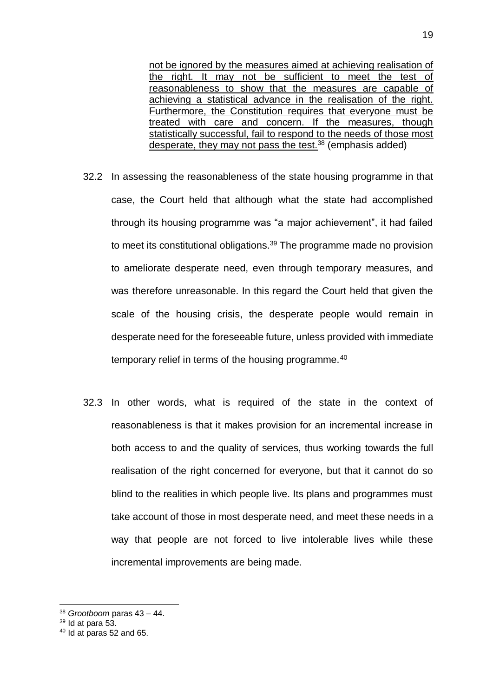not be ignored by the measures aimed at achieving realisation of the right. It may not be sufficient to meet the test of reasonableness to show that the measures are capable of achieving a statistical advance in the realisation of the right. Furthermore, the Constitution requires that everyone must be treated with care and concern. If the measures, though statistically successful, fail to respond to the needs of those most desperate, they may not pass the test. $38$  (emphasis added)

- 32.2 In assessing the reasonableness of the state housing programme in that case, the Court held that although what the state had accomplished through its housing programme was "a major achievement", it had failed to meet its constitutional obligations.<sup>39</sup> The programme made no provision to ameliorate desperate need, even through temporary measures, and was therefore unreasonable. In this regard the Court held that given the scale of the housing crisis, the desperate people would remain in desperate need for the foreseeable future, unless provided with immediate temporary relief in terms of the housing programme.<sup>40</sup>
- 32.3 In other words, what is required of the state in the context of reasonableness is that it makes provision for an incremental increase in both access to and the quality of services, thus working towards the full realisation of the right concerned for everyone, but that it cannot do so blind to the realities in which people live. Its plans and programmes must take account of those in most desperate need, and meet these needs in a way that people are not forced to live intolerable lives while these incremental improvements are being made.

<sup>1</sup> <sup>38</sup> *Grootboom* paras 43 – 44.

 $39$  Id at para 53.

 $40$  Id at paras 52 and 65.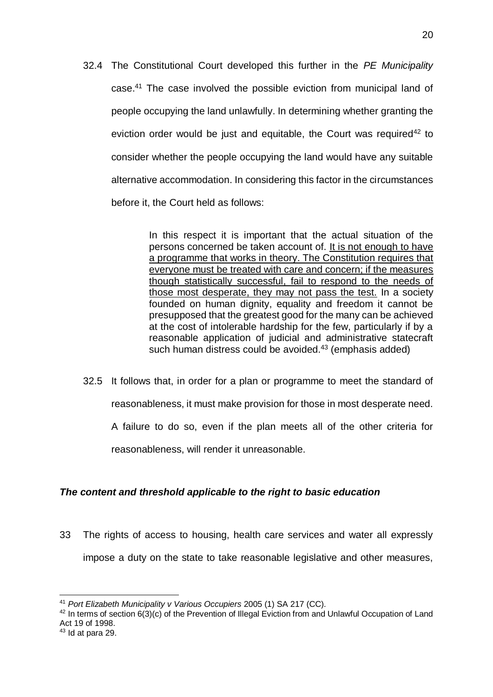32.4 The Constitutional Court developed this further in the *PE Municipality*  case.<sup>41</sup> The case involved the possible eviction from municipal land of people occupying the land unlawfully. In determining whether granting the eviction order would be just and equitable, the Court was required<sup>42</sup> to consider whether the people occupying the land would have any suitable alternative accommodation. In considering this factor in the circumstances before it, the Court held as follows:

> In this respect it is important that the actual situation of the persons concerned be taken account of. It is not enough to have a programme that works in theory. The Constitution requires that everyone must be treated with care and concern; if the measures though statistically successful, fail to respond to the needs of those most desperate, they may not pass the test. In a society founded on human dignity, equality and freedom it cannot be presupposed that the greatest good for the many can be achieved at the cost of intolerable hardship for the few, particularly if by a reasonable application of judicial and administrative statecraft such human distress could be avoided.<sup>43</sup> (emphasis added)

32.5 It follows that, in order for a plan or programme to meet the standard of reasonableness, it must make provision for those in most desperate need. A failure to do so, even if the plan meets all of the other criteria for reasonableness, will render it unreasonable.

## <span id="page-19-0"></span>*The content and threshold applicable to the right to basic education*

33 The rights of access to housing, health care services and water all expressly impose a duty on the state to take reasonable legislative and other measures,

<sup>1</sup> <sup>41</sup> *Port Elizabeth Municipality v Various Occupiers* 2005 (1) SA 217 (CC).

 $42$  In terms of section  $6(3)(c)$  of the Prevention of Illegal Eviction from and Unlawful Occupation of Land Act 19 of 1998.

 $43$  Id at para 29.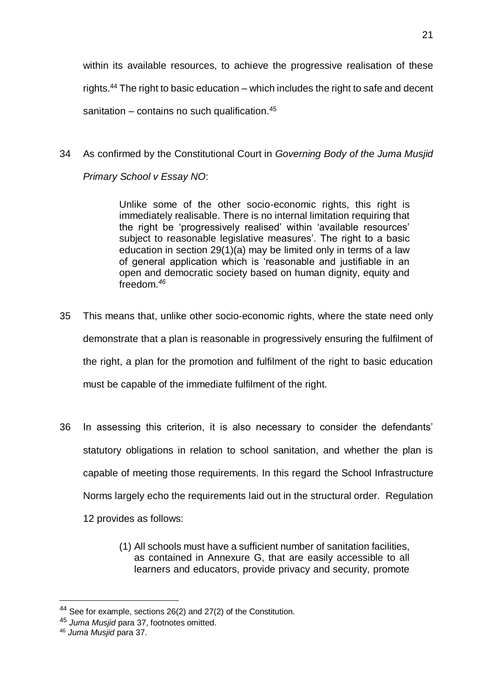within its available resources, to achieve the progressive realisation of these rights.<sup>44</sup> The right to basic education – which includes the right to safe and decent sanitation – contains no such qualification. $45$ 

34 As confirmed by the Constitutional Court in *Governing Body of the Juma Musjid Primary School v Essay NO*:

> Unlike some of the other socio-economic rights, this right is immediately realisable. There is no internal limitation requiring that the right be 'progressively realised' within 'available resources' subject to reasonable legislative measures'. The right to a basic education in section 29(1)(a) may be limited only in terms of a law of general application which is 'reasonable and justifiable in an open and democratic society based on human dignity, equity and freedom.*<sup>46</sup>*

- 35 This means that, unlike other socio-economic rights, where the state need only demonstrate that a plan is reasonable in progressively ensuring the fulfilment of the right, a plan for the promotion and fulfilment of the right to basic education must be capable of the immediate fulfilment of the right.
- 36 In assessing this criterion, it is also necessary to consider the defendants' statutory obligations in relation to school sanitation, and whether the plan is capable of meeting those requirements. In this regard the School Infrastructure Norms largely echo the requirements laid out in the structural order. Regulation
	- 12 provides as follows:
		- (1) All schools must have a sufficient number of sanitation facilities, as contained in Annexure G, that are easily accessible to all learners and educators, provide privacy and security, promote

<u>.</u>

<sup>&</sup>lt;sup>44</sup> See for example, sections  $26(2)$  and  $27(2)$  of the Constitution.

<sup>45</sup> *Juma Musjid* para 37, footnotes omitted.

<sup>46</sup> *Juma Musjid* para 37.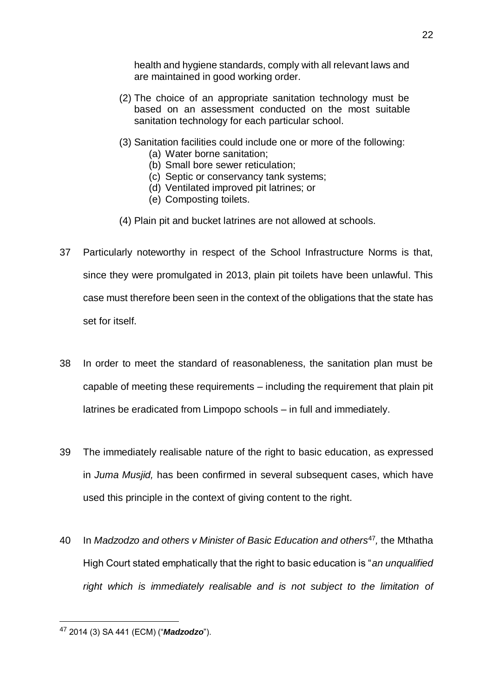health and hygiene standards, comply with all relevant laws and are maintained in good working order.

- (2) The choice of an appropriate sanitation technology must be based on an assessment conducted on the most suitable sanitation technology for each particular school.
- (3) Sanitation facilities could include one or more of the following:
	- (a) Water borne sanitation;
	- (b) Small bore sewer reticulation;
	- (c) Septic or conservancy tank systems;
	- (d) Ventilated improved pit latrines; or
	- (e) Composting toilets.
- (4) Plain pit and bucket latrines are not allowed at schools.
- 37 Particularly noteworthy in respect of the School Infrastructure Norms is that, since they were promulgated in 2013, plain pit toilets have been unlawful. This case must therefore been seen in the context of the obligations that the state has set for itself.
- 38 In order to meet the standard of reasonableness, the sanitation plan must be capable of meeting these requirements – including the requirement that plain pit latrines be eradicated from Limpopo schools – in full and immediately.
- 39 The immediately realisable nature of the right to basic education, as expressed in *Juma Musjid,* has been confirmed in several subsequent cases, which have used this principle in the context of giving content to the right.
- 40 In *Madzodzo and others v Minister of Basic Education and others*<sup>47</sup> *,* the Mthatha High Court stated emphatically that the right to basic education is "*an unqualified right which is immediately realisable and is not subject to the limitation of*

<sup>22</sup>

<sup>47</sup> 2014 (3) SA 441 (ECM) ("*Madzodzo*").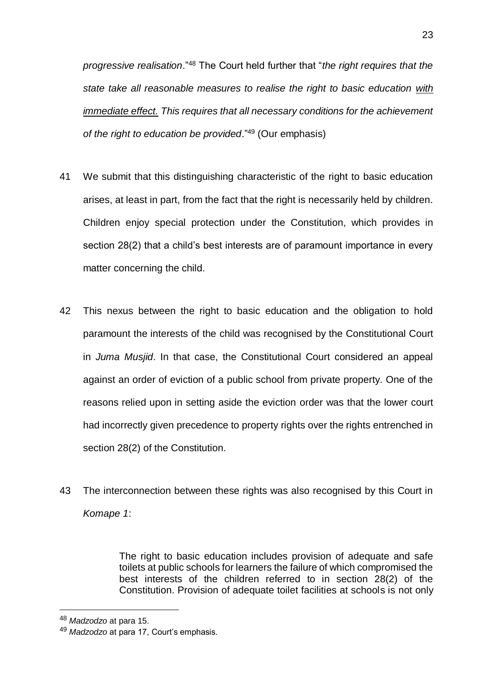*progressive realisation*."<sup>48</sup> The Court held further that "*the right requires that the state take all reasonable measures to realise the right to basic education with immediate effect. This requires that all necessary conditions for the achievement of the right to education be provided*."<sup>49</sup> (Our emphasis)

- 41 We submit that this distinguishing characteristic of the right to basic education arises, at least in part, from the fact that the right is necessarily held by children. Children enjoy special protection under the Constitution, which provides in section 28(2) that a child's best interests are of paramount importance in every matter concerning the child.
- 42 This nexus between the right to basic education and the obligation to hold paramount the interests of the child was recognised by the Constitutional Court in *Juma Musjid*. In that case, the Constitutional Court considered an appeal against an order of eviction of a public school from private property. One of the reasons relied upon in setting aside the eviction order was that the lower court had incorrectly given precedence to property rights over the rights entrenched in section 28(2) of the Constitution.
- 43 The interconnection between these rights was also recognised by this Court in *Komape 1*:

The right to basic education includes provision of adequate and safe toilets at public schools for learners the failure of which compromised the best interests of the children referred to in section 28(2) of the Constitution. Provision of adequate toilet facilities at schools is not only

<u>.</u>

<sup>48</sup> *Madzodzo* at para 15.

<sup>49</sup> *Madzodzo* at para 17, Court's emphasis.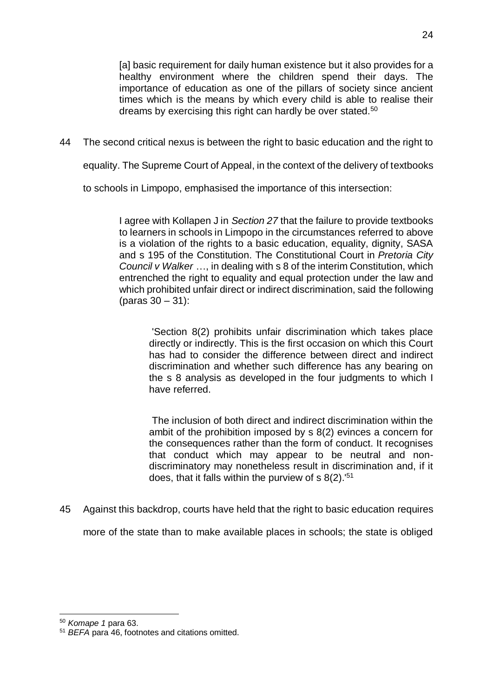[a] basic requirement for daily human existence but it also provides for a healthy environment where the children spend their days. The importance of education as one of the pillars of society since ancient times which is the means by which every child is able to realise their dreams by exercising this right can hardly be over stated.<sup>50</sup>

44 The second critical nexus is between the right to basic education and the right to

equality. The Supreme Court of Appeal, in the context of the delivery of textbooks

to schools in Limpopo, emphasised the importance of this intersection:

I agree with Kollapen J in *Section 27* that the failure to provide textbooks to learners in schools in Limpopo in the circumstances referred to above is a violation of the rights to a basic education, equality, dignity, SASA and s 195 of the Constitution. The Constitutional Court in *Pretoria City Council v Walker* …, in dealing with s 8 of the interim Constitution, which entrenched the right to equality and equal protection under the law and which prohibited unfair direct or indirect discrimination, said the following (paras 30 – 31):

'Section 8(2) prohibits unfair discrimination which takes place directly or indirectly. This is the first occasion on which this Court has had to consider the difference between direct and indirect discrimination and whether such difference has any bearing on the s 8 analysis as developed in the four judgments to which I have referred.

The inclusion of both direct and indirect discrimination within the ambit of the prohibition imposed by s 8(2) evinces a concern for the consequences rather than the form of conduct. It recognises that conduct which may appear to be neutral and nondiscriminatory may nonetheless result in discrimination and, if it does, that it falls within the purview of  $\frac{8(2)}{51}$ 

45 Against this backdrop, courts have held that the right to basic education requires

more of the state than to make available places in schools; the state is obliged

<sup>50</sup> *Komape 1* para 63.

<sup>51</sup> *BEFA* para 46, footnotes and citations omitted.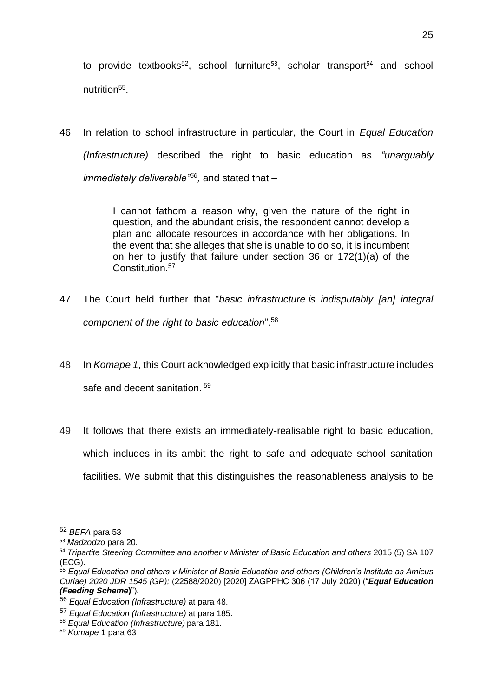to provide textbooks<sup>52</sup>, school furniture<sup>53</sup>, scholar transport<sup>54</sup> and school nutrition<sup>55</sup>.

46 In relation to school infrastructure in particular, the Court in *Equal Education (Infrastructure)* described the right to basic education as *"unarguably immediately deliverable"<sup>56</sup> ,* and stated that –

> I cannot fathom a reason why, given the nature of the right in question, and the abundant crisis, the respondent cannot develop a plan and allocate resources in accordance with her obligations. In the event that she alleges that she is unable to do so, it is incumbent on her to justify that failure under section 36 or 172(1)(a) of the Constitution.<sup>57</sup>

- 47 The Court held further that "*basic infrastructure is indisputably [an] integral component of the right to basic education*". 58
- 48 In *Komape 1*, this Court acknowledged explicitly that basic infrastructure includes safe and decent sanitation.<sup>59</sup>
- 49 It follows that there exists an immediately-realisable right to basic education, which includes in its ambit the right to safe and adequate school sanitation facilities. We submit that this distinguishes the reasonableness analysis to be

<sup>52</sup> *BEFA* para 53

<sup>53</sup> *Madzodzo* para 20.

<sup>54</sup> *Tripartite Steering Committee and another v Minister of Basic Education and others* 2015 (5) SA 107 (ECG).

<sup>55</sup> *Equal Education and others v Minister of Basic Education and others (Children's Institute as Amicus Curiae) 2020 JDR 1545 (GP);* (22588/2020) [2020] ZAGPPHC 306 (17 July 2020) ("*Equal Education (Feeding Scheme***)**").

<sup>56</sup> *Equal Education (Infrastructure)* at para 48.

<sup>57</sup> *Equal Education (Infrastructure)* at para 185.

<sup>58</sup> *Equal Education (Infrastructure)* para 181.

<sup>59</sup> *Komape* 1 para 63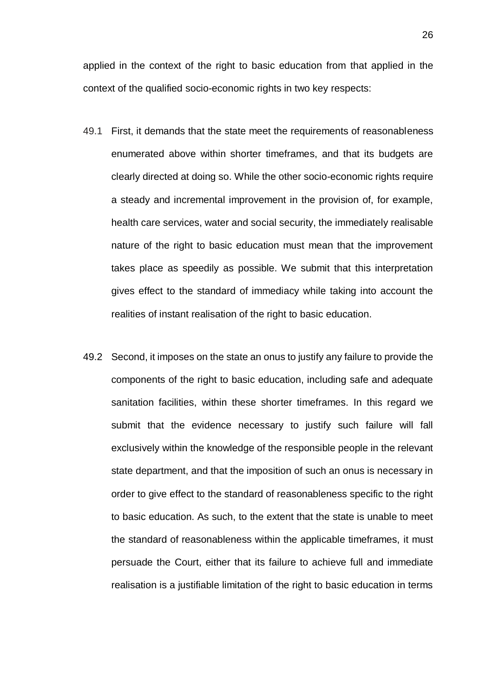applied in the context of the right to basic education from that applied in the context of the qualified socio-economic rights in two key respects:

- 49.1 First, it demands that the state meet the requirements of reasonableness enumerated above within shorter timeframes, and that its budgets are clearly directed at doing so. While the other socio-economic rights require a steady and incremental improvement in the provision of, for example, health care services, water and social security, the immediately realisable nature of the right to basic education must mean that the improvement takes place as speedily as possible. We submit that this interpretation gives effect to the standard of immediacy while taking into account the realities of instant realisation of the right to basic education.
- 49.2 Second, it imposes on the state an onus to justify any failure to provide the components of the right to basic education, including safe and adequate sanitation facilities, within these shorter timeframes. In this regard we submit that the evidence necessary to justify such failure will fall exclusively within the knowledge of the responsible people in the relevant state department, and that the imposition of such an onus is necessary in order to give effect to the standard of reasonableness specific to the right to basic education. As such, to the extent that the state is unable to meet the standard of reasonableness within the applicable timeframes, it must persuade the Court, either that its failure to achieve full and immediate realisation is a justifiable limitation of the right to basic education in terms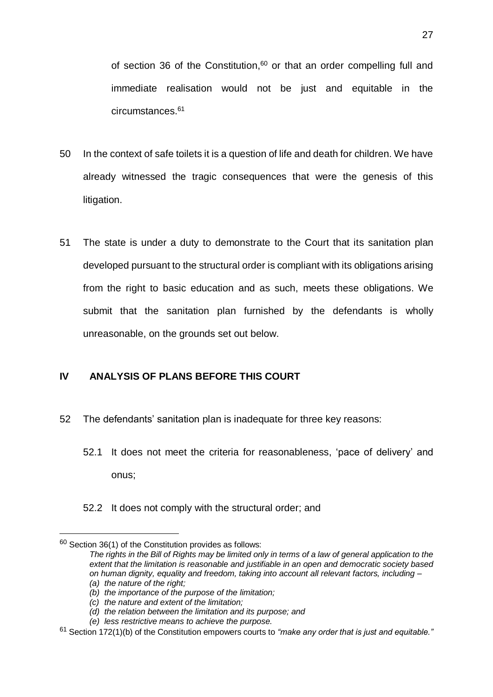of section 36 of the Constitution, $60$  or that an order compelling full and immediate realisation would not be just and equitable in the circumstances.<sup>61</sup>

- 50 In the context of safe toilets it is a question of life and death for children. We have already witnessed the tragic consequences that were the genesis of this litigation.
- 51 The state is under a duty to demonstrate to the Court that its sanitation plan developed pursuant to the structural order is compliant with its obligations arising from the right to basic education and as such, meets these obligations. We submit that the sanitation plan furnished by the defendants is wholly unreasonable, on the grounds set out below.

## <span id="page-26-0"></span>**IV ANALYSIS OF PLANS BEFORE THIS COURT**

- 52 The defendants' sanitation plan is inadequate for three key reasons:
	- 52.1 It does not meet the criteria for reasonableness, 'pace of delivery' and onus;
	- 52.2 It does not comply with the structural order; and

 $60$  Section 36(1) of the Constitution provides as follows:

*The rights in the Bill of Rights may be limited only in terms of a law of general application to the extent that the limitation is reasonable and justifiable in an open and democratic society based on human dignity, equality and freedom, taking into account all relevant factors, including – (a) the nature of the right;*

*<sup>(</sup>b) the importance of the purpose of the limitation;*

*<sup>(</sup>c) the nature and extent of the limitation;*

*<sup>(</sup>d) the relation between the limitation and its purpose; and*

*<sup>(</sup>e) less restrictive means to achieve the purpose.* 

<sup>61</sup> Section 172(1)(b) of the Constitution empowers courts to *"make any order that is just and equitable."*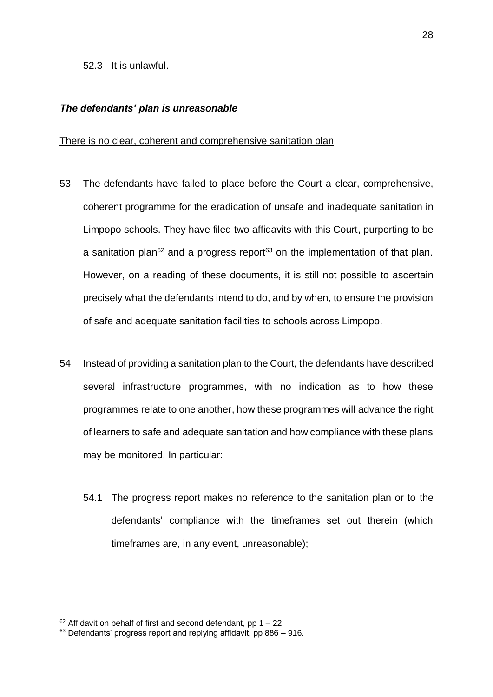#### <span id="page-27-0"></span>*The defendants' plan is unreasonable*

#### <span id="page-27-1"></span>There is no clear, coherent and comprehensive sanitation plan

- 53 The defendants have failed to place before the Court a clear, comprehensive, coherent programme for the eradication of unsafe and inadequate sanitation in Limpopo schools. They have filed two affidavits with this Court, purporting to be a sanitation plan<sup>62</sup> and a progress report<sup>63</sup> on the implementation of that plan. However, on a reading of these documents, it is still not possible to ascertain precisely what the defendants intend to do, and by when, to ensure the provision of safe and adequate sanitation facilities to schools across Limpopo.
- 54 Instead of providing a sanitation plan to the Court, the defendants have described several infrastructure programmes, with no indication as to how these programmes relate to one another, how these programmes will advance the right of learners to safe and adequate sanitation and how compliance with these plans may be monitored. In particular:
	- 54.1 The progress report makes no reference to the sanitation plan or to the defendants' compliance with the timeframes set out therein (which timeframes are, in any event, unreasonable);

 $62$  Affidavit on behalf of first and second defendant, pp 1 – 22.

 $63$  Defendants' progress report and replying affidavit, pp 886 – 916.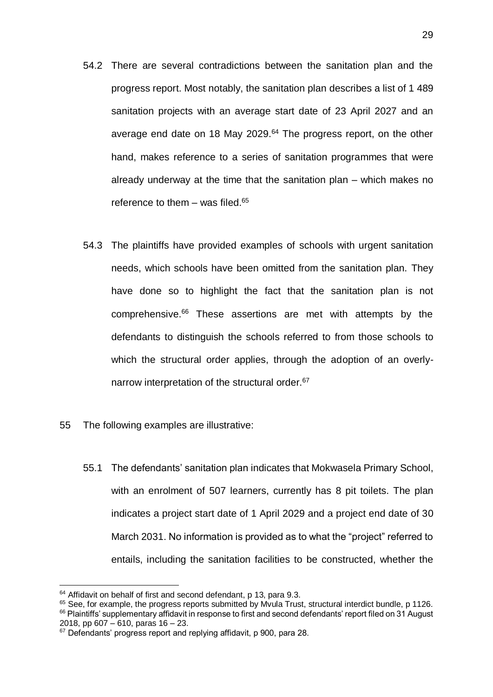- 54.2 There are several contradictions between the sanitation plan and the progress report. Most notably, the sanitation plan describes a list of 1 489 sanitation projects with an average start date of 23 April 2027 and an average end date on 18 May 2029.<sup>64</sup> The progress report, on the other hand, makes reference to a series of sanitation programmes that were already underway at the time that the sanitation plan – which makes no reference to them  $-$  was filed.<sup>65</sup>
- 54.3 The plaintiffs have provided examples of schools with urgent sanitation needs, which schools have been omitted from the sanitation plan. They have done so to highlight the fact that the sanitation plan is not comprehensive.<sup>66</sup> These assertions are met with attempts by the defendants to distinguish the schools referred to from those schools to which the structural order applies, through the adoption of an overlynarrow interpretation of the structural order.<sup>67</sup>
- 55 The following examples are illustrative:
	- 55.1 The defendants' sanitation plan indicates that Mokwasela Primary School, with an enrolment of 507 learners, currently has 8 pit toilets. The plan indicates a project start date of 1 April 2029 and a project end date of 30 March 2031. No information is provided as to what the "project" referred to entails, including the sanitation facilities to be constructed, whether the

<sup>&</sup>lt;sup>64</sup> Affidavit on behalf of first and second defendant, p 13, para 9.3.

 $65$  See, for example, the progress reports submitted by Myula Trust, structural interdict bundle, p 1126. <sup>66</sup> Plaintiffs' supplementary affidavit in response to first and second defendants' report filed on 31 August 2018, pp 607 – 610, paras 16 – 23.

<sup>&</sup>lt;sup>67</sup> Defendants' progress report and replying affidavit, p 900, para 28.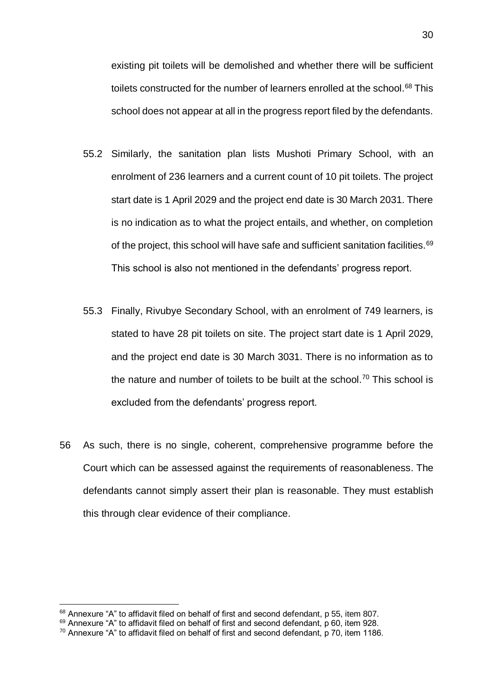existing pit toilets will be demolished and whether there will be sufficient toilets constructed for the number of learners enrolled at the school.<sup>68</sup> This school does not appear at all in the progress report filed by the defendants.

- 55.2 Similarly, the sanitation plan lists Mushoti Primary School, with an enrolment of 236 learners and a current count of 10 pit toilets. The project start date is 1 April 2029 and the project end date is 30 March 2031. There is no indication as to what the project entails, and whether, on completion of the project, this school will have safe and sufficient sanitation facilities.<sup>69</sup> This school is also not mentioned in the defendants' progress report.
- 55.3 Finally, Rivubye Secondary School, with an enrolment of 749 learners, is stated to have 28 pit toilets on site. The project start date is 1 April 2029, and the project end date is 30 March 3031. There is no information as to the nature and number of toilets to be built at the school.<sup>70</sup> This school is excluded from the defendants' progress report.
- 56 As such, there is no single, coherent, comprehensive programme before the Court which can be assessed against the requirements of reasonableness. The defendants cannot simply assert their plan is reasonable. They must establish this through clear evidence of their compliance.

 $68$  Annexure "A" to affidavit filed on behalf of first and second defendant, p 55, item 807.

<sup>&</sup>lt;sup>69</sup> Annexure "A" to affidavit filed on behalf of first and second defendant, p 60, item 928.

 $70$  Annexure "A" to affidavit filed on behalf of first and second defendant, p 70, item 1186.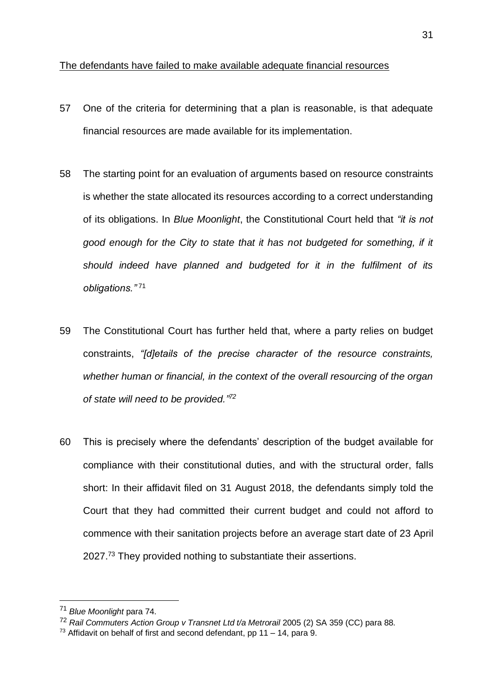#### <span id="page-30-0"></span>The defendants have failed to make available adequate financial resources

- 57 One of the criteria for determining that a plan is reasonable, is that adequate financial resources are made available for its implementation.
- 58 The starting point for an evaluation of arguments based on resource constraints is whether the state allocated its resources according to a correct understanding of its obligations. In *Blue Moonlight*, the Constitutional Court held that *"it is not good enough for the City to state that it has not budgeted for something, if it should indeed have planned and budgeted for it in the fulfilment of its obligations."* <sup>71</sup>
- 59 The Constitutional Court has further held that, where a party relies on budget constraints, *"[d]etails of the precise character of the resource constraints, whether human or financial, in the context of the overall resourcing of the organ of state will need to be provided." 72*
- 60 This is precisely where the defendants' description of the budget available for compliance with their constitutional duties, and with the structural order, falls short: In their affidavit filed on 31 August 2018, the defendants simply told the Court that they had committed their current budget and could not afford to commence with their sanitation projects before an average start date of 23 April 2027.<sup>73</sup> They provided nothing to substantiate their assertions.

<u>.</u>

<sup>71</sup> *Blue Moonlight* para 74.

<sup>72</sup> *Rail Commuters Action Group v Transnet Ltd t/a Metrorail* 2005 (2) SA 359 (CC) para 88.

<sup>&</sup>lt;sup>73</sup> Affidavit on behalf of first and second defendant, pp 11 – 14, para 9.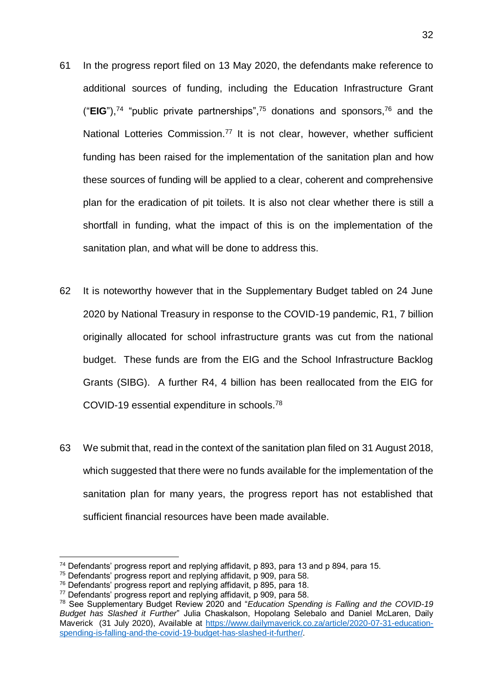- 61 In the progress report filed on 13 May 2020, the defendants make reference to additional sources of funding, including the Education Infrastructure Grant ("**EIG**"), <sup>74</sup> "public private partnerships",<sup>75</sup> donations and sponsors,<sup>76</sup> and the National Lotteries Commission.<sup>77</sup> It is not clear, however, whether sufficient funding has been raised for the implementation of the sanitation plan and how these sources of funding will be applied to a clear, coherent and comprehensive plan for the eradication of pit toilets. It is also not clear whether there is still a shortfall in funding, what the impact of this is on the implementation of the sanitation plan, and what will be done to address this.
- 62 It is noteworthy however that in the Supplementary Budget tabled on 24 June 2020 by National Treasury in response to the COVID-19 pandemic, R1, 7 billion originally allocated for school infrastructure grants was cut from the national budget. These funds are from the EIG and the School Infrastructure Backlog Grants (SIBG). A further R4, 4 billion has been reallocated from the EIG for COVID-19 essential expenditure in schools.<sup>78</sup>
- 63 We submit that, read in the context of the sanitation plan filed on 31 August 2018, which suggested that there were no funds available for the implementation of the sanitation plan for many years, the progress report has not established that sufficient financial resources have been made available.

<sup>74</sup> Defendants' progress report and replying affidavit, p 893, para 13 and p 894, para 15.

<sup>&</sup>lt;sup>75</sup> Defendants' progress report and replying affidavit, p 909, para 58.

<sup>76</sup> Defendants' progress report and replying affidavit, p 895, para 18.

<sup>77</sup> Defendants' progress report and replying affidavit, p 909, para 58.

<sup>78</sup> See Supplementary Budget Review 2020 and "*Education Spending is Falling and the COVID-19 Budget has Slashed it Further*" Julia Chaskalson, Hopolang Selebalo and Daniel McLaren, Daily Maverick (31 July 2020), Available at [https://www.dailymaverick.co.za/article/2020-07-31-education](https://www.dailymaverick.co.za/article/2020-07-31-education-spending-is-falling-and-the-covid-19-budget-has-slashed-it-further/)[spending-is-falling-and-the-covid-19-budget-has-slashed-it-further/.](https://www.dailymaverick.co.za/article/2020-07-31-education-spending-is-falling-and-the-covid-19-budget-has-slashed-it-further/)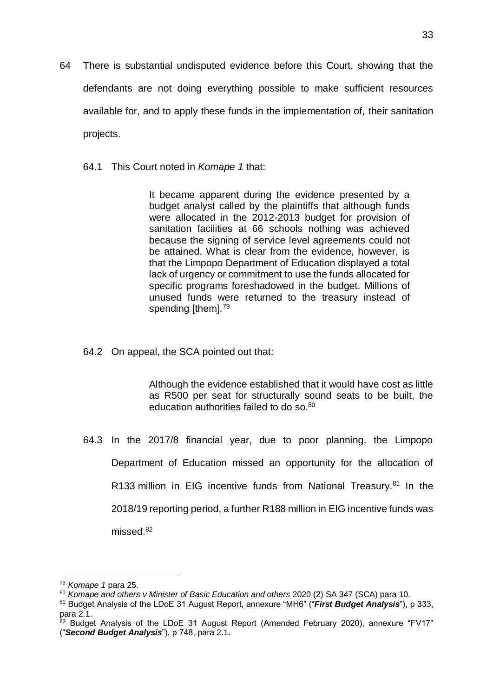- 64 There is substantial undisputed evidence before this Court, showing that the defendants are not doing everything possible to make sufficient resources available for, and to apply these funds in the implementation of, their sanitation projects.
	- 64.1 This Court noted in *Komape 1* that:

It became apparent during the evidence presented by a budget analyst called by the plaintiffs that although funds were allocated in the 2012-2013 budget for provision of sanitation facilities at 66 schools nothing was achieved because the signing of service level agreements could not be attained. What is clear from the evidence, however, is that the Limpopo Department of Education displayed a total lack of urgency or commitment to use the funds allocated for specific programs foreshadowed in the budget. Millions of unused funds were returned to the treasury instead of spending [them].<sup>79</sup>

64.2 On appeal, the SCA pointed out that:

Although the evidence established that it would have cost as little as R500 per seat for structurally sound seats to be built, the education authorities failed to do so.<sup>80</sup>

64.3 In the 2017/8 financial year, due to poor planning, the Limpopo Department of Education missed an opportunity for the allocation of R133 million in EIG incentive funds from National Treasury.<sup>81</sup> In the 2018/19 reporting period, a further R188 million in EIG incentive funds was missed.<sup>82</sup>

<u>.</u>

<sup>79</sup> *Komape 1* para 25.

<sup>80</sup> *Komape and others v Minister of Basic Education and others* 2020 (2) SA 347 (SCA) para 10.

<sup>81</sup> Budget Analysis of the LDoE 31 August Report, annexure "MH6" ("*First Budget Analysis*"), p 333, para 2.1.

 $82$  Budget Analysis of the LDoE 31 August Report (Amended February 2020), annexure "FV17" ("*Second Budget Analysis*"), p 748, para 2.1.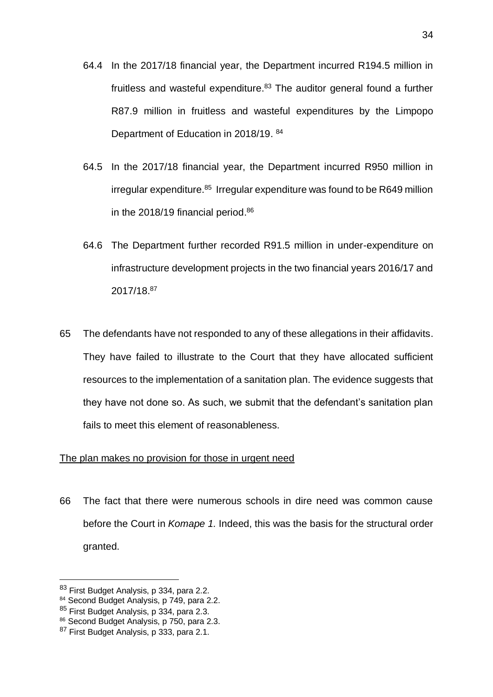- 64.4 In the 2017/18 financial year, the Department incurred R194.5 million in fruitless and wasteful expenditure.<sup>83</sup> The auditor general found a further R87.9 million in fruitless and wasteful expenditures by the Limpopo Department of Education in 2018/19.<sup>84</sup>
- 64.5 In the 2017/18 financial year, the Department incurred R950 million in irregular expenditure.<sup>85</sup> Irregular expenditure was found to be R649 million in the 2018/19 financial period. 86
- 64.6 The Department further recorded R91.5 million in under-expenditure on infrastructure development projects in the two financial years 2016/17 and 2017/18. 87
- 65 The defendants have not responded to any of these allegations in their affidavits. They have failed to illustrate to the Court that they have allocated sufficient resources to the implementation of a sanitation plan. The evidence suggests that they have not done so. As such, we submit that the defendant's sanitation plan fails to meet this element of reasonableness.

#### <span id="page-33-0"></span>The plan makes no provision for those in urgent need

66 The fact that there were numerous schools in dire need was common cause before the Court in *Komape 1.* Indeed, this was the basis for the structural order granted.

<u>.</u>

<sup>83</sup> First Budget Analysis, p 334, para 2.2.

<sup>84</sup> Second Budget Analysis, p 749, para 2.2.

<sup>85</sup> First Budget Analysis, p 334, para 2.3.

<sup>86</sup> Second Budget Analysis, p 750, para 2.3.

<sup>87</sup> First Budget Analysis, p 333, para 2.1.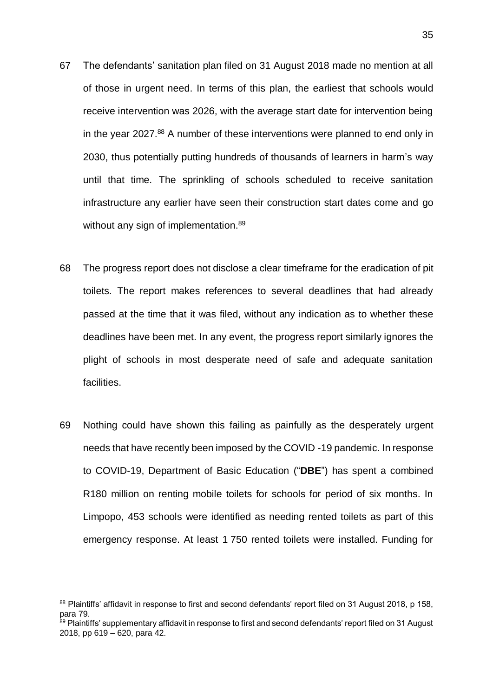- 67 The defendants' sanitation plan filed on 31 August 2018 made no mention at all of those in urgent need. In terms of this plan, the earliest that schools would receive intervention was 2026, with the average start date for intervention being in the year 2027.<sup>88</sup> A number of these interventions were planned to end only in 2030, thus potentially putting hundreds of thousands of learners in harm's way until that time. The sprinkling of schools scheduled to receive sanitation infrastructure any earlier have seen their construction start dates come and go without any sign of implementation.<sup>89</sup>
- 68 The progress report does not disclose a clear timeframe for the eradication of pit toilets. The report makes references to several deadlines that had already passed at the time that it was filed, without any indication as to whether these deadlines have been met. In any event, the progress report similarly ignores the plight of schools in most desperate need of safe and adequate sanitation facilities.
- 69 Nothing could have shown this failing as painfully as the desperately urgent needs that have recently been imposed by the COVID -19 pandemic. In response to COVID-19, Department of Basic Education ("**DBE**") has spent a combined R180 million on renting mobile toilets for schools for period of six months. In Limpopo, 453 schools were identified as needing rented toilets as part of this emergency response. At least 1 750 rented toilets were installed. Funding for

<sup>88</sup> Plaintiffs' affidavit in response to first and second defendants' report filed on 31 August 2018, p 158, para 79.

<sup>&</sup>lt;sup>89</sup> Plaintiffs' supplementary affidavit in response to first and second defendants' report filed on 31 August 2018, pp 619 – 620, para 42.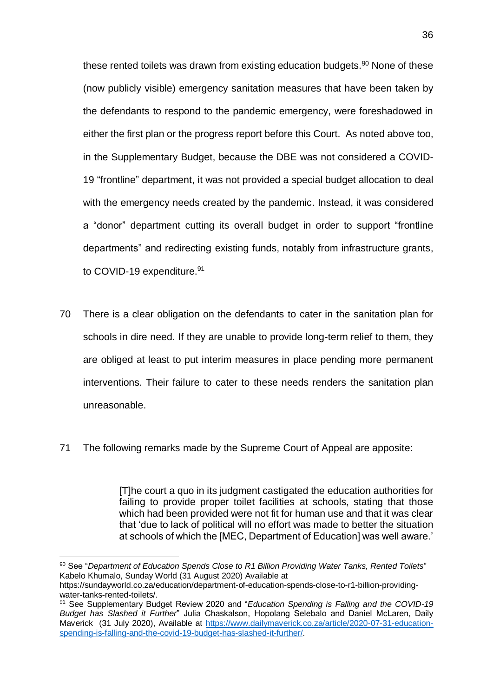these rented toilets was drawn from existing education budgets.<sup>90</sup> None of these (now publicly visible) emergency sanitation measures that have been taken by the defendants to respond to the pandemic emergency, were foreshadowed in either the first plan or the progress report before this Court. As noted above too, in the Supplementary Budget, because the DBE was not considered a COVID-19 "frontline" department, it was not provided a special budget allocation to deal with the emergency needs created by the pandemic. Instead, it was considered a "donor" department cutting its overall budget in order to support "frontline departments" and redirecting existing funds, notably from infrastructure grants, to COVID-19 expenditure.<sup>91</sup>

- 70 There is a clear obligation on the defendants to cater in the sanitation plan for schools in dire need. If they are unable to provide long-term relief to them, they are obliged at least to put interim measures in place pending more permanent interventions. Their failure to cater to these needs renders the sanitation plan unreasonable.
- 71 The following remarks made by the Supreme Court of Appeal are apposite:

[T]he court a quo in its judgment castigated the education authorities for failing to provide proper toilet facilities at schools, stating that those which had been provided were not fit for human use and that it was clear that 'due to lack of political will no effort was made to better the situation at schools of which the [MEC, Department of Education] was well aware.'

<sup>90</sup> See "*Department of Education Spends Close to R1 Billion Providing Water Tanks, Rented Toilets*" Kabelo Khumalo, Sunday World (31 August 2020) Available at

https://sundayworld.co.za/education/department-of-education-spends-close-to-r1-billion-providingwater-tanks-rented-toilets/.

<sup>91</sup> See Supplementary Budget Review 2020 and "*Education Spending is Falling and the COVID-19 Budget has Slashed it Further*" Julia Chaskalson, Hopolang Selebalo and Daniel McLaren, Daily Maverick (31 July 2020), Available at [https://www.dailymaverick.co.za/article/2020-07-31-education](https://www.dailymaverick.co.za/article/2020-07-31-education-spending-is-falling-and-the-covid-19-budget-has-slashed-it-further/)[spending-is-falling-and-the-covid-19-budget-has-slashed-it-further/.](https://www.dailymaverick.co.za/article/2020-07-31-education-spending-is-falling-and-the-covid-19-budget-has-slashed-it-further/)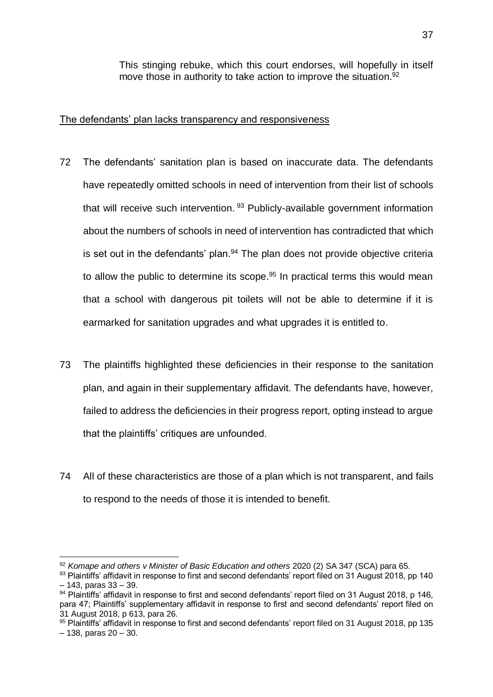This stinging rebuke, which this court endorses, will hopefully in itself move those in authority to take action to improve the situation.<sup>92</sup>

#### <span id="page-36-0"></span>The defendants' plan lacks transparency and responsiveness

- 72 The defendants' sanitation plan is based on inaccurate data. The defendants have repeatedly omitted schools in need of intervention from their list of schools that will receive such intervention.<sup>93</sup> Publicly-available government information about the numbers of schools in need of intervention has contradicted that which is set out in the defendants' plan. $94$  The plan does not provide objective criteria to allow the public to determine its scope.<sup>95</sup> In practical terms this would mean that a school with dangerous pit toilets will not be able to determine if it is earmarked for sanitation upgrades and what upgrades it is entitled to.
- 73 The plaintiffs highlighted these deficiencies in their response to the sanitation plan, and again in their supplementary affidavit. The defendants have, however, failed to address the deficiencies in their progress report, opting instead to argue that the plaintiffs' critiques are unfounded.
- 74 All of these characteristics are those of a plan which is not transparent, and fails to respond to the needs of those it is intended to benefit.

<sup>92</sup> *Komape and others v Minister of Basic Education and others* 2020 (2) SA 347 (SCA) para 65.

<sup>93</sup> Plaintiffs' affidavit in response to first and second defendants' report filed on 31 August 2018, pp 140 – 143, paras 33 – 39.

<sup>94</sup> Plaintiffs' affidavit in response to first and second defendants' report filed on 31 August 2018, p 146, para 47; Plaintiffs' supplementary affidavit in response to first and second defendants' report filed on 31 August 2018, p 613, para 26.

<sup>95</sup> Plaintiffs' affidavit in response to first and second defendants' report filed on 31 August 2018, pp 135 – 138, paras 20 – 30.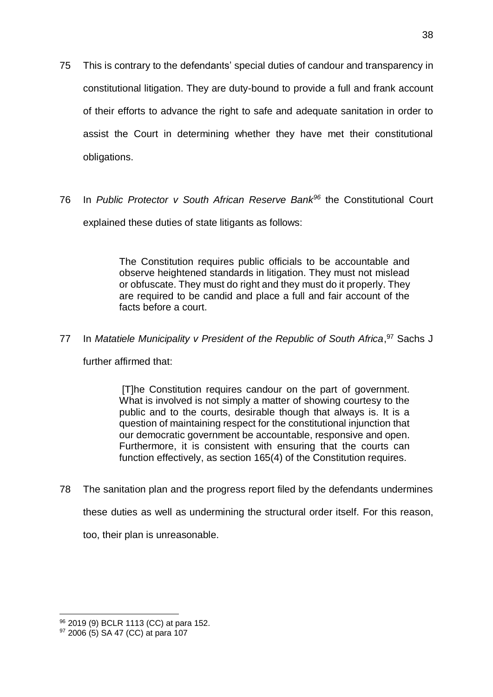- 75 This is contrary to the defendants' special duties of candour and transparency in constitutional litigation. They are duty-bound to provide a full and frank account of their efforts to advance the right to safe and adequate sanitation in order to assist the Court in determining whether they have met their constitutional obligations.
- 76 In *Public Protector v South African Reserve Bank<sup>96</sup>* the Constitutional Court explained these duties of state litigants as follows:

The Constitution requires public officials to be accountable and observe heightened standards in litigation. They must not mislead or obfuscate. They must do right and they must do it properly. They are required to be candid and place a full and fair account of the facts before a court.

77 In Matatiele Municipality v President of the Republic of South Africa, <sup>97</sup> Sachs J

further affirmed that:

[T]he Constitution requires candour on the part of government. What is involved is not simply a matter of showing courtesy to the public and to the courts, desirable though that always is. It is a question of maintaining respect for the constitutional injunction that our democratic government be accountable, responsive and open. Furthermore, it is consistent with ensuring that the courts can function effectively, as section 165(4) of the Constitution requires.

78 The sanitation plan and the progress report filed by the defendants undermines these duties as well as undermining the structural order itself. For this reason, too, their plan is unreasonable.

<sup>96 2019 (9)</sup> BCLR 1113 (CC) at para 152.

<sup>97 2006 (5)</sup> SA 47 (CC) at para 107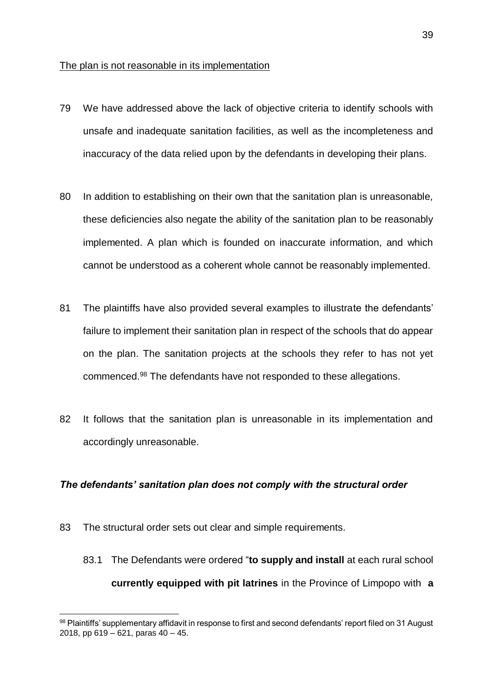#### <span id="page-38-0"></span>The plan is not reasonable in its implementation

- 79 We have addressed above the lack of objective criteria to identify schools with unsafe and inadequate sanitation facilities, as well as the incompleteness and inaccuracy of the data relied upon by the defendants in developing their plans.
- 80 In addition to establishing on their own that the sanitation plan is unreasonable, these deficiencies also negate the ability of the sanitation plan to be reasonably implemented. A plan which is founded on inaccurate information, and which cannot be understood as a coherent whole cannot be reasonably implemented.
- 81 The plaintiffs have also provided several examples to illustrate the defendants' failure to implement their sanitation plan in respect of the schools that do appear on the plan. The sanitation projects at the schools they refer to has not yet commenced.<sup>98</sup> The defendants have not responded to these allegations.
- 82 It follows that the sanitation plan is unreasonable in its implementation and accordingly unreasonable.

#### <span id="page-38-1"></span>*The defendants' sanitation plan does not comply with the structural order*

83 The structural order sets out clear and simple requirements.

1

83.1 The Defendants were ordered "**to supply and install** at each rural school **currently equipped with pit latrines** in the Province of Limpopo with **a** 

<sup>98</sup> Plaintiffs' supplementary affidavit in response to first and second defendants' report filed on 31 August 2018, pp  $619 - 621$ , paras  $40 - 45$ .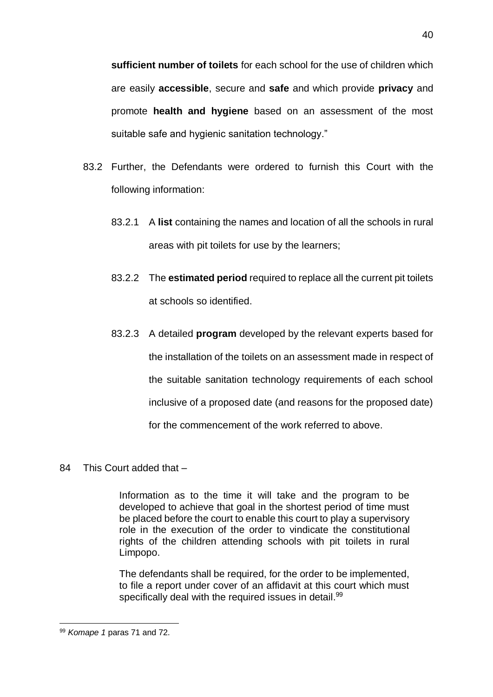**sufficient number of toilets** for each school for the use of children which are easily **accessible**, secure and **safe** and which provide **privacy** and promote **health and hygiene** based on an assessment of the most suitable safe and hygienic sanitation technology."

- 83.2 Further, the Defendants were ordered to furnish this Court with the following information:
	- 83.2.1 A **list** containing the names and location of all the schools in rural areas with pit toilets for use by the learners;
	- 83.2.2 The **estimated period** required to replace all the current pit toilets at schools so identified.
	- 83.2.3 A detailed **program** developed by the relevant experts based for the installation of the toilets on an assessment made in respect of the suitable sanitation technology requirements of each school inclusive of a proposed date (and reasons for the proposed date) for the commencement of the work referred to above.
- 84 This Court added that –

Information as to the time it will take and the program to be developed to achieve that goal in the shortest period of time must be placed before the court to enable this court to play a supervisory role in the execution of the order to vindicate the constitutional rights of the children attending schools with pit toilets in rural Limpopo.

The defendants shall be required, for the order to be implemented, to file a report under cover of an affidavit at this court which must specifically deal with the required issues in detail.<sup>99</sup>

<sup>1</sup> <sup>99</sup> *Komape 1* paras 71 and 72.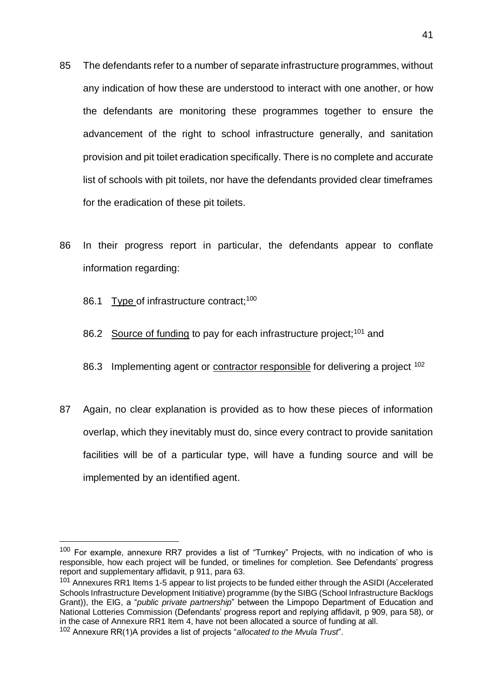- 85 The defendants refer to a number of separate infrastructure programmes, without any indication of how these are understood to interact with one another, or how the defendants are monitoring these programmes together to ensure the advancement of the right to school infrastructure generally, and sanitation provision and pit toilet eradication specifically. There is no complete and accurate list of schools with pit toilets, nor have the defendants provided clear timeframes for the eradication of these pit toilets.
- 86 In their progress report in particular, the defendants appear to conflate information regarding:
	- 86.1 Type of infrastructure contract;<sup>100</sup>

<u>.</u>

- 86.2 Source of funding to pay for each infrastructure project:<sup>101</sup> and
- 86.3 Implementing agent or contractor responsible for delivering a project <sup>102</sup>
- 87 Again, no clear explanation is provided as to how these pieces of information overlap, which they inevitably must do, since every contract to provide sanitation facilities will be of a particular type, will have a funding source and will be implemented by an identified agent.

<sup>&</sup>lt;sup>100</sup> For example, annexure RR7 provides a list of "Turnkey" Projects, with no indication of who is responsible, how each project will be funded, or timelines for completion. See Defendants' progress report and supplementary affidavit, p 911, para 63.

<sup>&</sup>lt;sup>101</sup> Annexures RR1 Items 1-5 appear to list projects to be funded either through the ASIDI (Accelerated Schools Infrastructure Development Initiative) programme (by the SIBG (School Infrastructure Backlogs Grant)), the EIG, a "*public private partnership*" between the Limpopo Department of Education and National Lotteries Commission (Defendants' progress report and replying affidavit, p 909, para 58), or in the case of Annexure RR1 Item 4, have not been allocated a source of funding at all.

<sup>102</sup> Annexure RR(1)A provides a list of projects "*allocated to the Mvula Trust*".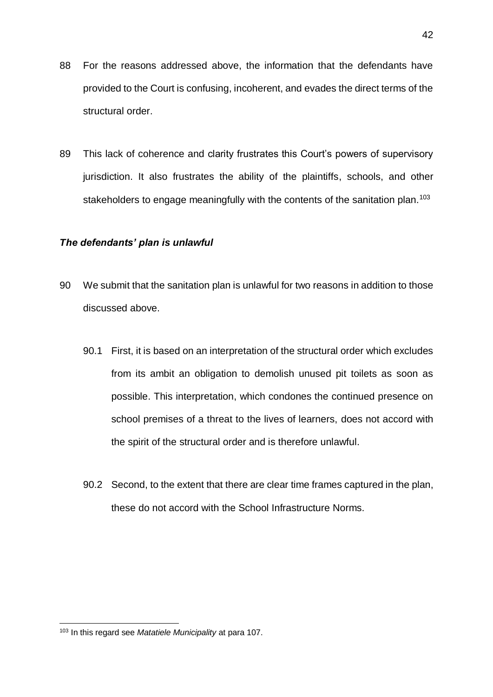- 88 For the reasons addressed above, the information that the defendants have provided to the Court is confusing, incoherent, and evades the direct terms of the structural order.
- 89 This lack of coherence and clarity frustrates this Court's powers of supervisory jurisdiction. It also frustrates the ability of the plaintiffs, schools, and other stakeholders to engage meaningfully with the contents of the sanitation plan.<sup>103</sup>

#### <span id="page-41-0"></span>*The defendants' plan is unlawful*

- 90 We submit that the sanitation plan is unlawful for two reasons in addition to those discussed above.
	- 90.1 First, it is based on an interpretation of the structural order which excludes from its ambit an obligation to demolish unused pit toilets as soon as possible. This interpretation, which condones the continued presence on school premises of a threat to the lives of learners, does not accord with the spirit of the structural order and is therefore unlawful.
	- 90.2 Second, to the extent that there are clear time frames captured in the plan, these do not accord with the School Infrastructure Norms.

<sup>1</sup> <sup>103</sup> In this regard see *Matatiele Municipality* at para 107.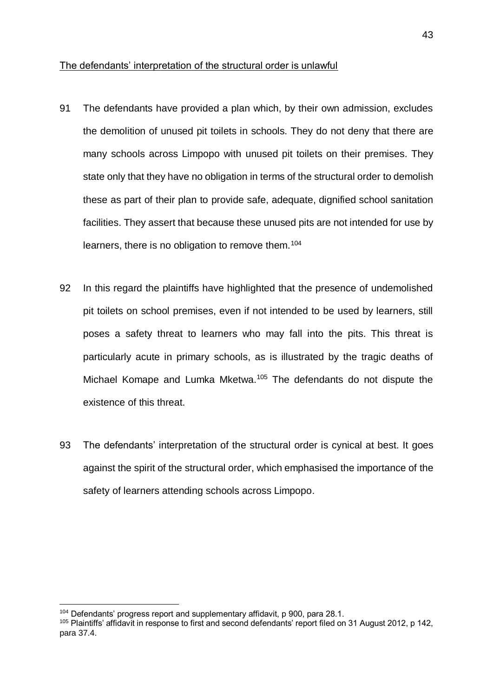#### <span id="page-42-0"></span>The defendants' interpretation of the structural order is unlawful

- 91 The defendants have provided a plan which, by their own admission, excludes the demolition of unused pit toilets in schools. They do not deny that there are many schools across Limpopo with unused pit toilets on their premises. They state only that they have no obligation in terms of the structural order to demolish these as part of their plan to provide safe, adequate, dignified school sanitation facilities. They assert that because these unused pits are not intended for use by learners, there is no obligation to remove them.<sup>104</sup>
- 92 In this regard the plaintiffs have highlighted that the presence of undemolished pit toilets on school premises, even if not intended to be used by learners, still poses a safety threat to learners who may fall into the pits. This threat is particularly acute in primary schools, as is illustrated by the tragic deaths of Michael Komape and Lumka Mketwa.<sup>105</sup> The defendants do not dispute the existence of this threat.
- 93 The defendants' interpretation of the structural order is cynical at best. It goes against the spirit of the structural order, which emphasised the importance of the safety of learners attending schools across Limpopo.

<sup>&</sup>lt;sup>104</sup> Defendants' progress report and supplementary affidavit, p 900, para 28.1.

<sup>105</sup> Plaintiffs' affidavit in response to first and second defendants' report filed on 31 August 2012, p 142, para 37.4.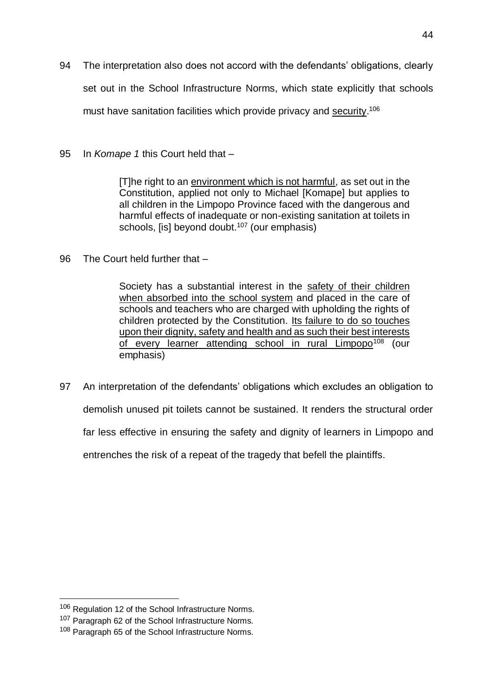- 94 The interpretation also does not accord with the defendants' obligations, clearly set out in the School Infrastructure Norms, which state explicitly that schools must have sanitation facilities which provide privacy and security.<sup>106</sup>
- 95 In *Komape 1* this Court held that –

[T]he right to an environment which is not harmful, as set out in the Constitution, applied not only to Michael [Komape] but applies to all children in the Limpopo Province faced with the dangerous and harmful effects of inadequate or non-existing sanitation at toilets in schools, [is] beyond doubt. $107$  (our emphasis)

96 The Court held further that –

Society has a substantial interest in the safety of their children when absorbed into the school system and placed in the care of schools and teachers who are charged with upholding the rights of children protected by the Constitution. Its failure to do so touches upon their dignity, safety and health and as such their best interests of every learner attending school in rural Limpopo<sup>108</sup> (our emphasis)

97 An interpretation of the defendants' obligations which excludes an obligation to demolish unused pit toilets cannot be sustained. It renders the structural order far less effective in ensuring the safety and dignity of learners in Limpopo and entrenches the risk of a repeat of the tragedy that befell the plaintiffs.

<sup>106</sup> Regulation 12 of the School Infrastructure Norms.

<sup>&</sup>lt;sup>107</sup> Paragraph 62 of the School Infrastructure Norms.

<sup>108</sup> Paragraph 65 of the School Infrastructure Norms.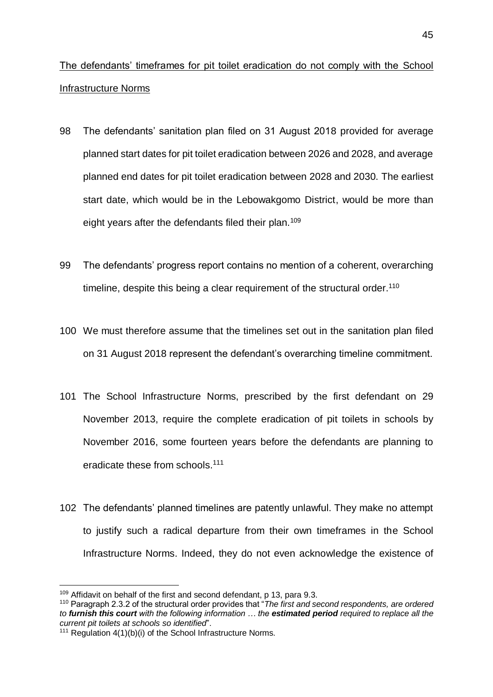<span id="page-44-0"></span>The defendants' timeframes for pit toilet eradication do not comply with the School Infrastructure Norms

- 98 The defendants' sanitation plan filed on 31 August 2018 provided for average planned start dates for pit toilet eradication between 2026 and 2028, and average planned end dates for pit toilet eradication between 2028 and 2030. The earliest start date, which would be in the Lebowakgomo District, would be more than eight years after the defendants filed their plan.<sup>109</sup>
- 99 The defendants' progress report contains no mention of a coherent, overarching timeline, despite this being a clear requirement of the structural order.<sup>110</sup>
- 100 We must therefore assume that the timelines set out in the sanitation plan filed on 31 August 2018 represent the defendant's overarching timeline commitment.
- 101 The School Infrastructure Norms, prescribed by the first defendant on 29 November 2013, require the complete eradication of pit toilets in schools by November 2016, some fourteen years before the defendants are planning to eradicate these from schools.<sup>111</sup>
- 102 The defendants' planned timelines are patently unlawful. They make no attempt to justify such a radical departure from their own timeframes in the School Infrastructure Norms. Indeed, they do not even acknowledge the existence of

<sup>&</sup>lt;sup>109</sup> Affidavit on behalf of the first and second defendant, p 13, para 9.3.

<sup>110</sup> Paragraph 2.3.2 of the structural order provides that "*The first and second respondents, are ordered to furnish this court with the following information … the estimated period required to replace all the current pit toilets at schools so identified*".

<sup>&</sup>lt;sup>111</sup> Regulation  $4(1)(b)(i)$  of the School Infrastructure Norms.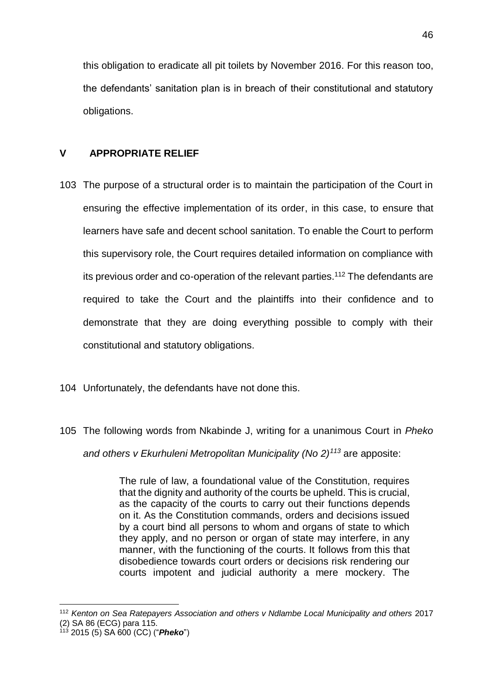this obligation to eradicate all pit toilets by November 2016. For this reason too, the defendants' sanitation plan is in breach of their constitutional and statutory obligations.

## <span id="page-45-0"></span>**V APPROPRIATE RELIEF**

- 103 The purpose of a structural order is to maintain the participation of the Court in ensuring the effective implementation of its order, in this case, to ensure that learners have safe and decent school sanitation. To enable the Court to perform this supervisory role, the Court requires detailed information on compliance with its previous order and co-operation of the relevant parties.<sup>112</sup> The defendants are required to take the Court and the plaintiffs into their confidence and to demonstrate that they are doing everything possible to comply with their constitutional and statutory obligations.
- 104 Unfortunately, the defendants have not done this.
- 105 The following words from Nkabinde J, writing for a unanimous Court in *Pheko*

*and others v Ekurhuleni Metropolitan Municipality (No 2)<sup>113</sup>* are apposite:

The rule of law, a foundational value of the Constitution, requires that the dignity and authority of the courts be upheld. This is crucial, as the capacity of the courts to carry out their functions depends on it. As the Constitution commands, orders and decisions issued by a court bind all persons to whom and organs of state to which they apply, and no person or organ of state may interfere, in any manner, with the functioning of the courts. It follows from this that disobedience towards court orders or decisions risk rendering our courts impotent and judicial authority a mere mockery. The

<sup>112</sup> *Kenton on Sea Ratepayers Association and others v Ndlambe Local Municipality and others* 2017 (2) SA 86 (ECG) para 115.

<sup>113</sup> 2015 (5) SA 600 (CC) ("*Pheko*")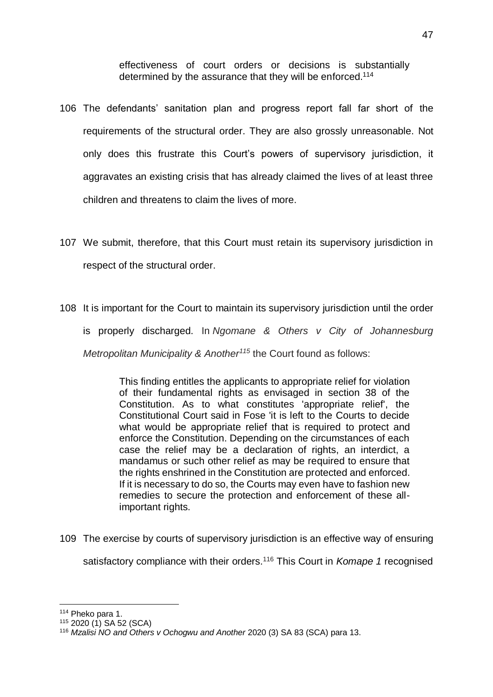effectiveness of court orders or decisions is substantially determined by the assurance that they will be enforced.<sup>114</sup>

- 106 The defendants' sanitation plan and progress report fall far short of the requirements of the structural order. They are also grossly unreasonable. Not only does this frustrate this Court's powers of supervisory jurisdiction, it agaravates an existing crisis that has already claimed the lives of at least three children and threatens to claim the lives of more.
- 107 We submit, therefore, that this Court must retain its supervisory jurisdiction in respect of the structural order.
- 108 It is important for the Court to maintain its supervisory jurisdiction until the order

is properly discharged. In *Ngomane & Others v City of Johannesburg* 

*Metropolitan Municipality & Another<sup>115</sup>* the Court found as follows:

This finding entitles the applicants to appropriate relief for violation of their fundamental rights as envisaged in section 38 of the Constitution. As to what constitutes 'appropriate relief', the Constitutional Court said in Fose 'it is left to the Courts to decide what would be appropriate relief that is required to protect and enforce the Constitution. Depending on the circumstances of each case the relief may be a declaration of rights, an interdict, a mandamus or such other relief as may be required to ensure that the rights enshrined in the Constitution are protected and enforced. If it is necessary to do so, the Courts may even have to fashion new remedies to secure the protection and enforcement of these allimportant rights.

109 The exercise by courts of supervisory jurisdiction is an effective way of ensuring satisfactory compliance with their orders.<sup>116</sup> This Court in *Komape 1* recognised

<sup>114</sup> Pheko para 1.

 $115$  [2020 \(1\) SA 52](http://www.saflii.org/cgi-bin/LawCite?cit=2020%20%281%29%20SA%2052) (SCA)

<sup>116</sup> *Mzalisi NO and Others v Ochogwu and Another* [2020 \(3\) SA 83](http://www.saflii.org/cgi-bin/LawCite?cit=2020%20%283%29%20SA%2083) (SCA) para 13.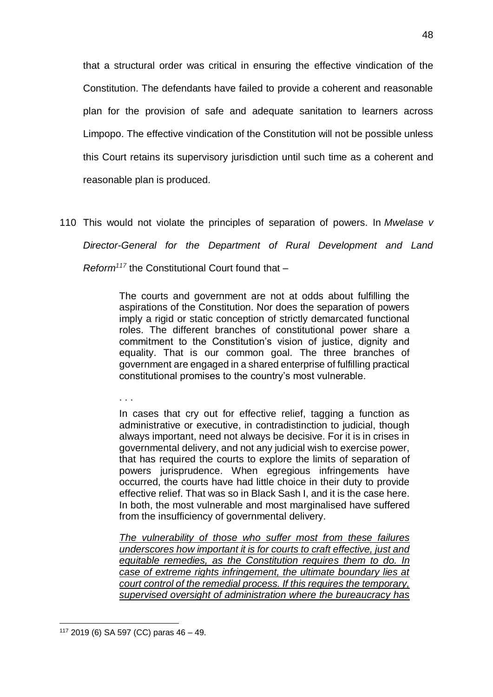that a structural order was critical in ensuring the effective vindication of the Constitution. The defendants have failed to provide a coherent and reasonable plan for the provision of safe and adequate sanitation to learners across Limpopo. The effective vindication of the Constitution will not be possible unless this Court retains its supervisory jurisdiction until such time as a coherent and reasonable plan is produced.

110 This would not violate the principles of separation of powers. In *Mwelase v Director-General for the Department of Rural Development and Land Reform<sup>117</sup>* the Constitutional Court found that –

> The courts and government are not at odds about fulfilling the aspirations of the Constitution. Nor does the separation of powers imply a rigid or static conception of strictly demarcated functional roles. The different branches of constitutional power share a commitment to the Constitution's vision of justice, dignity and equality. That is our common goal. The three branches of government are engaged in a shared enterprise of fulfilling practical constitutional promises to the country's most vulnerable.

. . .

In cases that cry out for effective relief, tagging a function as administrative or executive, in contradistinction to judicial, though always important, need not always be decisive. For it is in crises in governmental delivery, and not any judicial wish to exercise power, that has required the courts to explore the limits of separation of powers jurisprudence. When egregious infringements have occurred, the courts have had little choice in their duty to provide effective relief. That was so in Black Sash I, and it is the case here. In both, the most vulnerable and most marginalised have suffered from the insufficiency of governmental delivery.

*The vulnerability of those who suffer most from these failures underscores how important it is for courts to craft effective, just and equitable remedies, as the Constitution requires them to do. In case of extreme rights infringement, the ultimate boundary lies at court control of the remedial process. If this requires the temporary, supervised oversight of administration where the bureaucracy has* 

<sup>1</sup>  $117$  [2019 \(6\) SA 597](http://www.saflii.org/cgi-bin/LawCite?cit=2019%20%286%29%20SA%20597) (CC) paras  $46 - 49$ .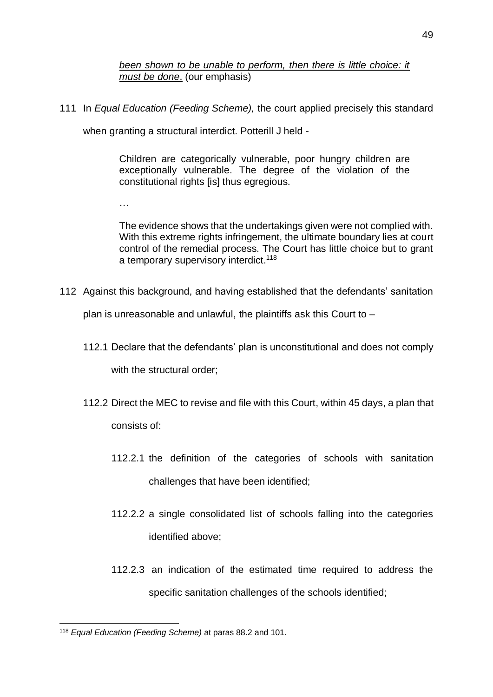*been shown to be unable to perform, then there is little choice: it must be done*. (our emphasis)

111 In *Equal Education (Feeding Scheme),* the court applied precisely this standard

when granting a structural interdict. Potterill J held -

Children are categorically vulnerable, poor hungry children are exceptionally vulnerable. The degree of the violation of the constitutional rights [is] thus egregious.

…

The evidence shows that the undertakings given were not complied with. With this extreme rights infringement, the ultimate boundary lies at court control of the remedial process. The Court has little choice but to grant a temporary supervisory interdict.<sup>118</sup>

<span id="page-48-0"></span>112 Against this background, and having established that the defendants' sanitation

plan is unreasonable and unlawful, the plaintiffs ask this Court to –

- 112.1 Declare that the defendants' plan is unconstitutional and does not comply with the structural order;
- 112.2 Direct the MEC to revise and file with this Court, within 45 days, a plan that consists of:
	- 112.2.1 the definition of the categories of schools with sanitation challenges that have been identified;
	- 112.2.2 a single consolidated list of schools falling into the categories identified above;
	- 112.2.3 an indication of the estimated time required to address the specific sanitation challenges of the schools identified;

<sup>1</sup> <sup>118</sup> *Equal Education (Feeding Scheme)* at paras 88.2 and 101.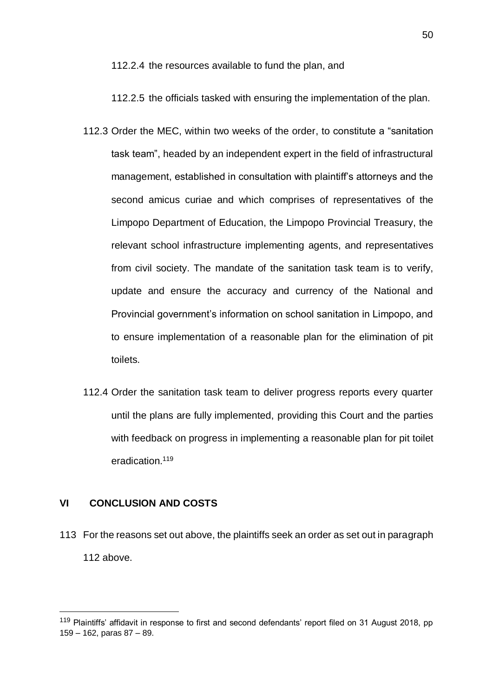112.2.4 the resources available to fund the plan, and

112.2.5 the officials tasked with ensuring the implementation of the plan.

- 112.3 Order the MEC, within two weeks of the order, to constitute a "sanitation task team", headed by an independent expert in the field of infrastructural management, established in consultation with plaintiff's attorneys and the second amicus curiae and which comprises of representatives of the Limpopo Department of Education, the Limpopo Provincial Treasury, the relevant school infrastructure implementing agents, and representatives from civil society. The mandate of the sanitation task team is to verify, update and ensure the accuracy and currency of the National and Provincial government's information on school sanitation in Limpopo, and to ensure implementation of a reasonable plan for the elimination of pit toilets.
- 112.4 Order the sanitation task team to deliver progress reports every quarter until the plans are fully implemented, providing this Court and the parties with feedback on progress in implementing a reasonable plan for pit toilet eradication.<sup>119</sup>

## <span id="page-49-0"></span>**VI CONCLUSION AND COSTS**

1

113 For the reasons set out above, the plaintiffs seek an order as set out in paragraph [112](#page-48-0) above.

<sup>119</sup> Plaintiffs' affidavit in response to first and second defendants' report filed on 31 August 2018, pp 159 – 162, paras 87 – 89.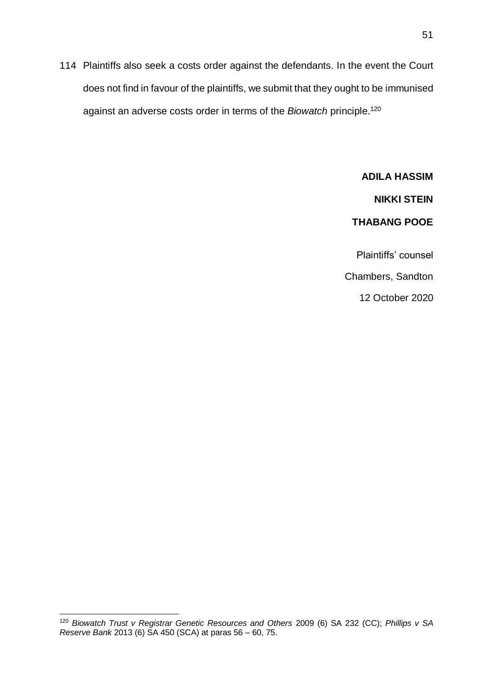114 Plaintiffs also seek a costs order against the defendants. In the event the Court does not find in favour of the plaintiffs, we submit that they ought to be immunised against an adverse costs order in terms of the *Biowatch* principle.<sup>120</sup>

> **ADILA HASSIM NIKKI STEIN THABANG POOE** Plaintiffs' counsel Chambers, Sandton 12 October 2020

<sup>120</sup> *Biowatch Trust v Registrar Genetic Resources and Others* 2009 (6) SA 232 (CC); *Phillips v SA Reserve Bank* 2013 (6) SA 450 (SCA) at paras 56 – 60, 75.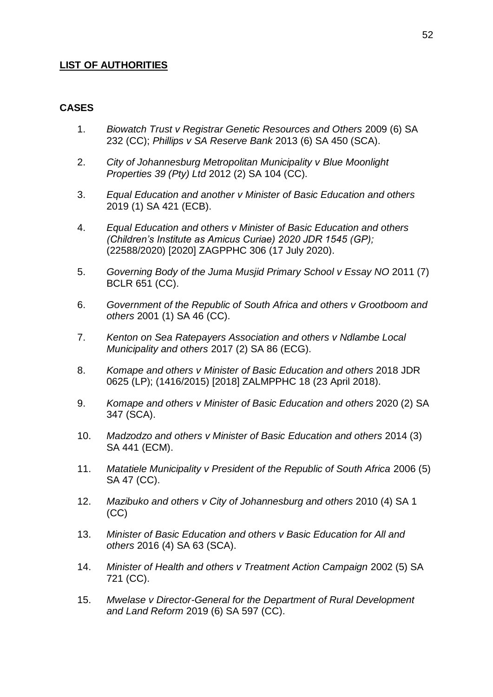## **LIST OF AUTHORITIES**

#### **CASES**

- 1. *Biowatch Trust v Registrar Genetic Resources and Others* 2009 (6) SA 232 (CC); *Phillips v SA Reserve Bank* 2013 (6) SA 450 (SCA).
- 2. *City of Johannesburg Metropolitan Municipality v Blue Moonlight Properties 39 (Pty) Ltd* 2012 (2) SA 104 (CC).
- 3. *Equal Education and another v Minister of Basic Education and others*  2019 (1) SA 421 (ECB).
- 4. *Equal Education and others v Minister of Basic Education and others (Children's Institute as Amicus Curiae) 2020 JDR 1545 (GP);*  (22588/2020) [2020] ZAGPPHC 306 (17 July 2020).
- 5. *Governing Body of the Juma Musjid Primary School v Essay NO* 2011 (7) BCLR 651 (CC).
- 6. *Government of the Republic of South Africa and others v Grootboom and others* 2001 (1) SA 46 (CC).
- 7. *Kenton on Sea Ratepayers Association and others v Ndlambe Local Municipality and others* 2017 (2) SA 86 (ECG).
- 8. *Komape and others v Minister of Basic Education and others* 2018 JDR 0625 (LP); (1416/2015) [2018] ZALMPPHC 18 (23 April 2018).
- 9. *Komape and others v Minister of Basic Education and others* 2020 (2) SA 347 (SCA).
- 10. *Madzodzo and others v Minister of Basic Education and others* 2014 (3) SA 441 (ECM).
- 11. *Matatiele Municipality v President of the Republic of South Africa* 2006 (5) SA 47 (CC).
- 12. *Mazibuko and others v City of Johannesburg and others* 2010 (4) SA 1 (CC)
- 13. *Minister of Basic Education and others v Basic Education for All and others* 2016 (4) SA 63 (SCA).
- 14. *Minister of Health and others v Treatment Action Campaign* 2002 (5) SA 721 (CC).
- 15. *Mwelase v Director-General for the Department of Rural Development and Land Reform* [2019 \(6\) SA 597](http://www.saflii.org/cgi-bin/LawCite?cit=2019%20%286%29%20SA%20597) (CC).